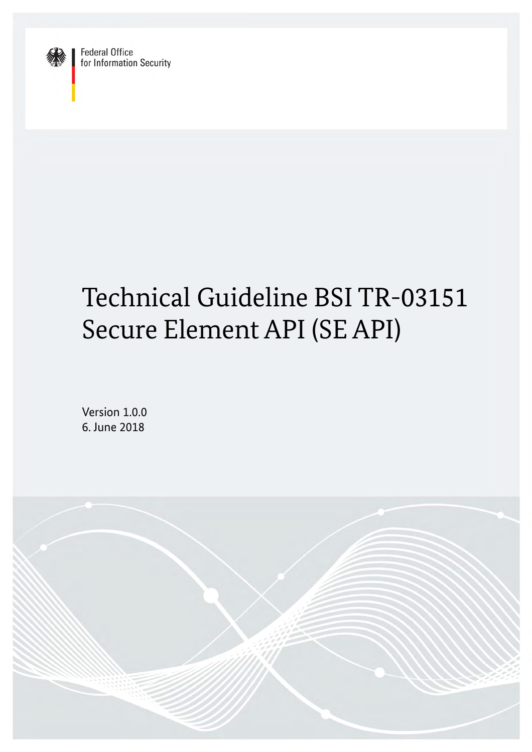

**Federal Office** for Information Security

# Technical Guideline BSI TR-03151 Secure Element API (SE API)

Version 1.0.0 6. June 2018

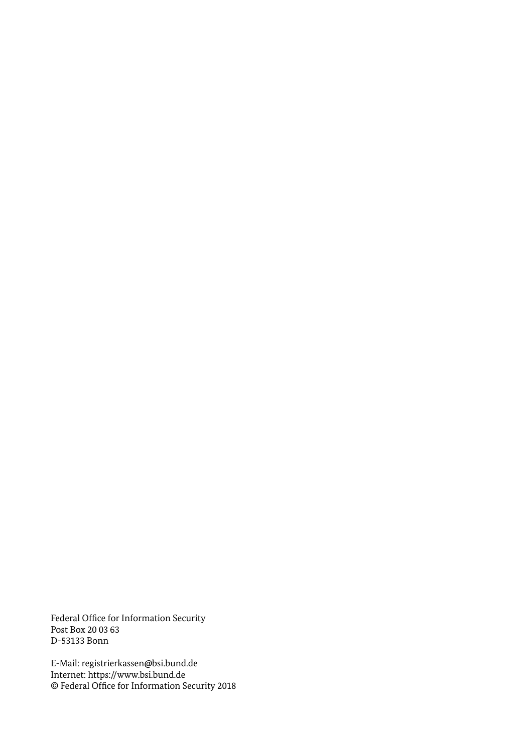<span id="page-1-0"></span>Federal Office for Information Security Post Box 20 03 63 D-53133 Bonn

E-Mail: [registrierkassen@bsi.bund.de](mailto:registrierkassen@bsi.bund.de?subject=Technical%20Guideline%20BSI%20TR-03151) Internet: [https://www.bsi.bund.de](https://www.bsi.bund.de/) © Federal Office for Information Security 2018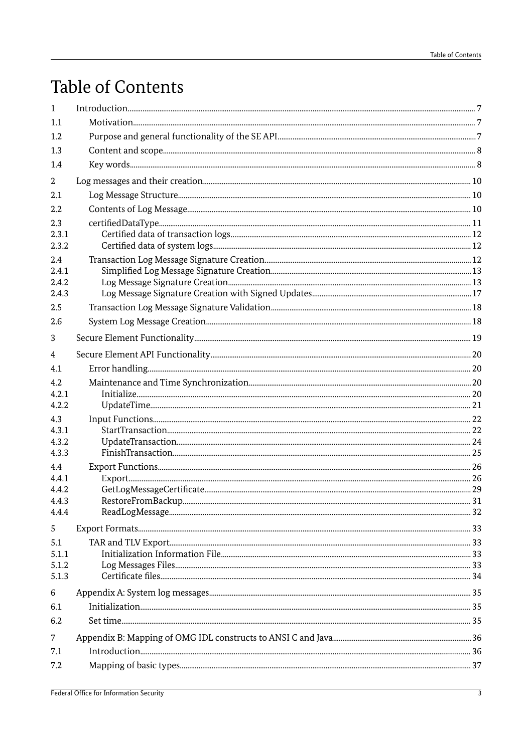## Table of Contents

| $\mathbf{1}$   | $\label{prop:1} \mbox{Introduction}\mbox{3.5}$ |  |
|----------------|------------------------------------------------|--|
| 1.1            |                                                |  |
| 1.2            |                                                |  |
| 1.3            |                                                |  |
| 1.4            |                                                |  |
| 2              |                                                |  |
| 2.1            |                                                |  |
| 2.2            |                                                |  |
| 2.3            |                                                |  |
| 2.3.1          |                                                |  |
| 2.3.2          |                                                |  |
| 2.4            |                                                |  |
| 2.4.1          |                                                |  |
| 2.4.2          |                                                |  |
| 2.4.3          |                                                |  |
| 2.5            |                                                |  |
| 2.6            |                                                |  |
| 3              |                                                |  |
| 4              |                                                |  |
| 4.1            |                                                |  |
| 4.2            |                                                |  |
| 4.2.1          |                                                |  |
| 4.2.2          |                                                |  |
| 4.3            |                                                |  |
| 4.3.1          |                                                |  |
| 4.3.2<br>4.3.3 |                                                |  |
| 4.4            |                                                |  |
| 4.4.1          |                                                |  |
| 4.4.2          |                                                |  |
| 4.4.3          |                                                |  |
| 4.4.4          |                                                |  |
| 5              |                                                |  |
| 5.1            |                                                |  |
| 5.1.1          |                                                |  |
| 5.1.2          |                                                |  |
| 5.1.3          |                                                |  |
| 6              |                                                |  |
| 6.1            |                                                |  |
| 6.2            |                                                |  |
| $\overline{7}$ |                                                |  |
| 7.1            |                                                |  |
| 7.2            |                                                |  |
|                |                                                |  |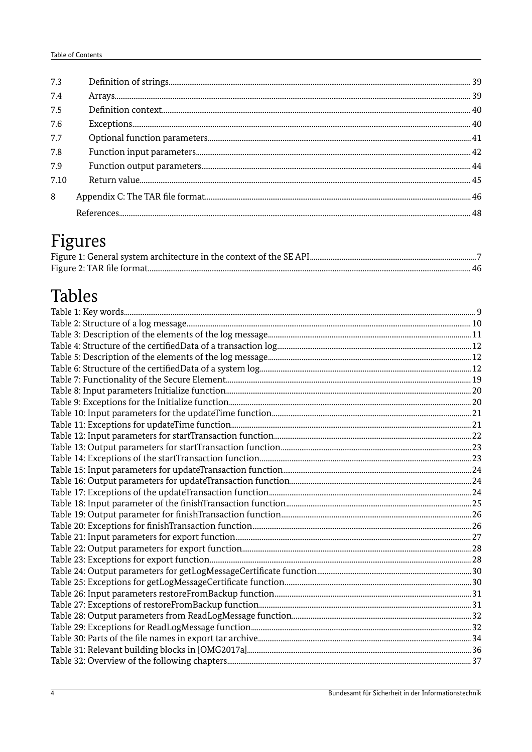## Figures

## Tables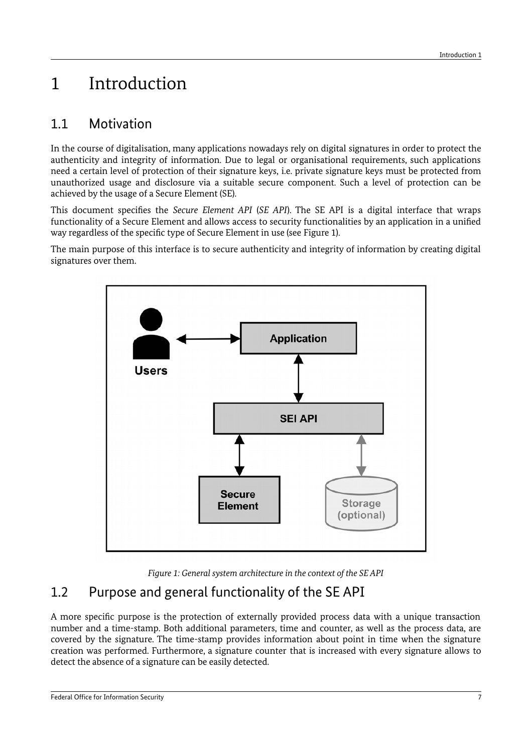## <span id="page-6-2"></span>1 Introduction

## <span id="page-6-1"></span>1.1 Motivation

In the course of digitalisation, many applications nowadays rely on digital signatures in order to protect the authenticity and integrity of information. Due to legal or organisational requirements, such applications need a certain level of protection of their signature keys, i.e. private signature keys must be protected from unauthorized usage and disclosure via a suitable secure component. Such a level of protection can be achieved by the usage of a Secure Element (SE).

This document specifies the *Secure Element API* (*SE API*). The SE API is a digital interface that wraps functionality of a Secure Element and allows access to security functionalities by an application in a unified way regardless of the specific type of Secure Element in use (see [Figure 1\)](#page-6-3).

The main purpose of this interface is to secure authenticity and integrity of information by creating digital signatures over them.



<span id="page-6-3"></span>*Figure 1: General system architecture in the context of the SE API*

## <span id="page-6-0"></span>1.2 Purpose and general functionality of the SE API

A more specific purpose is the protection of externally provided process data with a unique transaction number and a time-stamp. Both additional parameters, time and counter, as well as the process data, are covered by the signature. The time-stamp provides information about point in time when the signature creation was performed. Furthermore, a signature counter that is increased with every signature allows to detect the absence of a signature can be easily detected.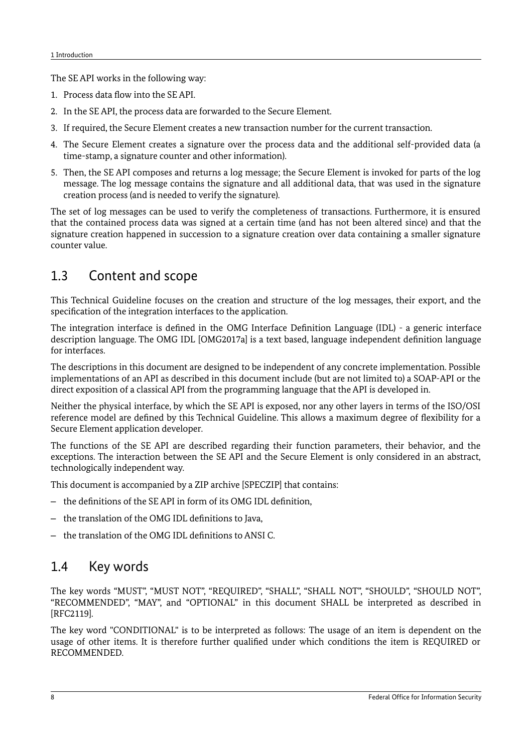The SE API works in the following way:

- 1. Process data flow into the SE API.
- 2. In the SE API, the process data are forwarded to the Secure Element.
- 3. If required, the Secure Element creates a new transaction number for the current transaction.
- 4. The Secure Element creates a signature over the process data and the additional self-provided data (a time-stamp, a signature counter and other information).
- 5. Then, the SE API composes and returns a log message; the Secure Element is invoked for parts of the log message. The log message contains the signature and all additional data, that was used in the signature creation process (and is needed to verify the signature).

The set of log messages can be used to verify the completeness of transactions. Furthermore, it is ensured that the contained process data was signed at a certain time (and has not been altered since) and that the signature creation happened in succession to a signature creation over data containing a smaller signature counter value.

## <span id="page-7-1"></span>1.3 Content and scope

This Technical Guideline focuses on the creation and structure of the log messages, their export, and the specification of the integration interfaces to the application.

The integration interface is defined in the OMG Interface Definition Language (IDL) - a generic interface description language. The OMG IDL [OMG2017a] is a text based, language independent definition language for interfaces.

The descriptions in this document are designed to be independent of any concrete implementation. Possible implementations of an API as described in this document include (but are not limited to) a SOAP-API or the direct exposition of a classical API from the programming language that the API is developed in.

Neither the physical interface, by which the SE API is exposed, nor any other layers in terms of the ISO/OSI reference model are defined by this Technical Guideline. This allows a maximum degree of flexibility for a Secure Element application developer.

The functions of the SE API are described regarding their function parameters, their behavior, and the exceptions. The interaction between the SE API and the Secure Element is only considered in an abstract, technologically independent way.

This document is accompanied by a ZIP archive [SPECZIP] that contains:

- the definitions of the SE API in form of its OMG IDL definition,
- the translation of the OMG IDL definitions to Java,
- the translation of the OMG IDL definitions to ANSI C.

## <span id="page-7-0"></span>1.4 Key words

The key words "MUST", "MUST NOT", "REQUIRED", "SHALL", "SHALL NOT", "SHOULD", "SHOULD NOT", "RECOMMENDED", "MAY", and "OPTIONAL" in this document SHALL be interpreted as described in [RFC2119].

The key word "CONDITIONAL" is to be interpreted as follows: The usage of an item is dependent on the usage of other items. It is therefore further qualified under which conditions the item is REQUIRED or RECOMMENDED.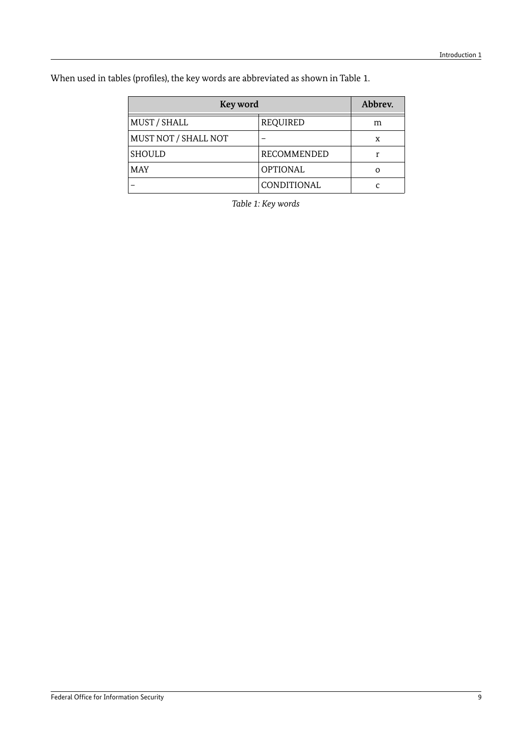When used in tables (profiles), the key words are abbreviated as shown in Table [1.](#page-8-0)

| Key word             | Abbrev.            |          |
|----------------------|--------------------|----------|
| MUST / SHALL         | REQUIRED           | m        |
| MUST NOT / SHALL NOT |                    | X        |
| <b>SHOULD</b>        | RECOMMENDED        | r        |
| <b>MAY</b>           | <b>OPTIONAL</b>    | $\Omega$ |
|                      | <b>CONDITIONAL</b> |          |

<span id="page-8-0"></span>*Table 1: Key words*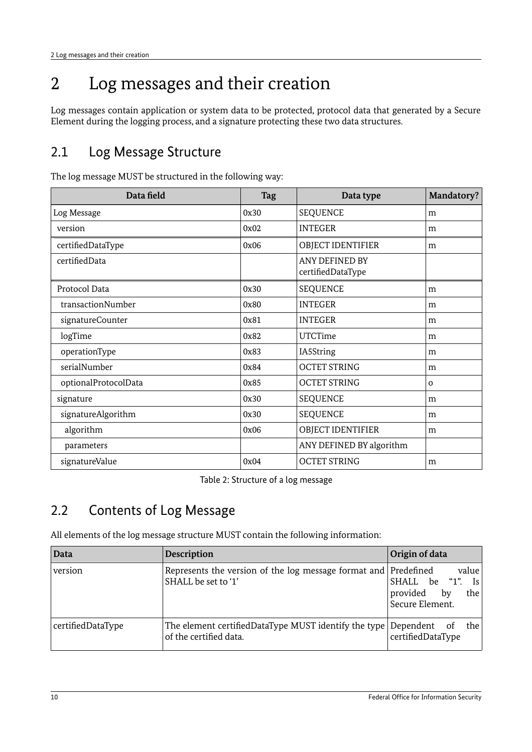## <span id="page-9-2"></span>2 Log messages and their creation

Log messages contain application or system data to be protected, protocol data that generated by a Secure Element during the logging process, and a signature protecting these two data structures.

## <span id="page-9-1"></span>2.1 Log Message Structure

| Data field           | <b>Tag</b> | Data type                           | <b>Mandatory?</b> |
|----------------------|------------|-------------------------------------|-------------------|
| Log Message          | 0x30       | <b>SEQUENCE</b>                     | m                 |
| version              | 0x02       | <b>INTEGER</b>                      | m                 |
| certifiedDataType    | 0x06       | OBJECT IDENTIFIER                   | m                 |
| certifiedData        |            | ANY DEFINED BY<br>certifiedDataType |                   |
| Protocol Data        | 0x30       | <b>SEQUENCE</b>                     | m                 |
| transactionNumber    | 0x80       | <b>INTEGER</b>                      | m                 |
| signatureCounter     | 0x81       | <b>INTEGER</b>                      | m                 |
| logTime              | 0x82       | <b>UTCTime</b>                      | m                 |
| operationType        | 0x83       | IA5String                           | m                 |
| serialNumber         | 0x84       | <b>OCTET STRING</b>                 | m                 |
| optionalProtocolData | 0x85       | <b>OCTET STRING</b>                 | $\mathbf{O}$      |
| signature            | 0x30       | <b>SEQUENCE</b>                     | m                 |
| signatureAlgorithm   | 0x30       | <b>SEQUENCE</b>                     | m                 |
| algorithm            | 0x06       | OBJECT IDENTIFIER                   | m                 |
| parameters           |            | ANY DEFINED BY algorithm            |                   |
| signatureValue       | 0x04       | <b>OCTET STRING</b>                 | m                 |

The log message MUST be structured in the following way:

<span id="page-9-3"></span>Table 2: Structure of a log message

## <span id="page-9-0"></span>2.2 Contents of Log Message

All elements of the log message structure MUST contain the following information:

| Data              | <b>Description</b>                                                                          | Origin of data                                                               |
|-------------------|---------------------------------------------------------------------------------------------|------------------------------------------------------------------------------|
| version           | Represents the version of the log message format and Predefined<br>SHALL be set to '1'      | value<br>SHALL be "1".<br>Is  <br>provided<br>by<br>the  <br>Secure Element. |
| certifiedDataType | The element certifiedDataType MUST identify the type Dependent of<br>of the certified data. | the l<br>certifiedDataType                                                   |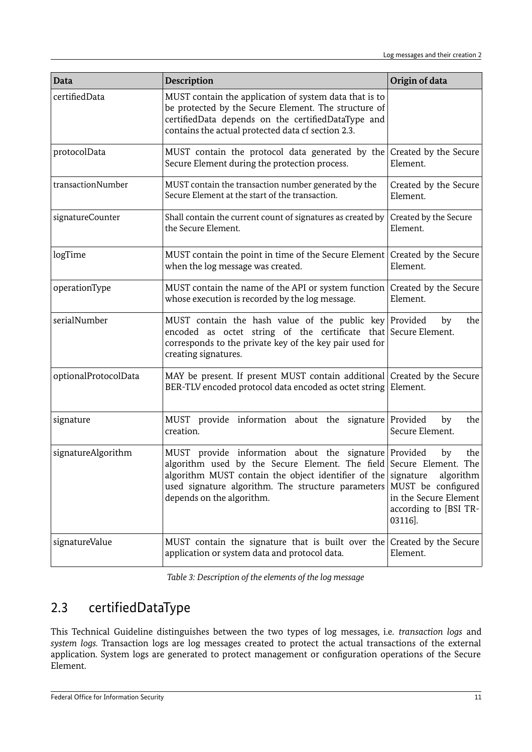| Data                 | <b>Description</b>                                                                                                                                                                                                                                                     | Origin of data                                                                                                         |
|----------------------|------------------------------------------------------------------------------------------------------------------------------------------------------------------------------------------------------------------------------------------------------------------------|------------------------------------------------------------------------------------------------------------------------|
| certifiedData        | MUST contain the application of system data that is to<br>be protected by the Secure Element. The structure of<br>certifiedData depends on the certifiedDataType and<br>contains the actual protected data cf section 2.3.                                             |                                                                                                                        |
| protocolData         | MUST contain the protocol data generated by the Created by the Secure<br>Secure Element during the protection process.                                                                                                                                                 | Element.                                                                                                               |
| transactionNumber    | MUST contain the transaction number generated by the<br>Secure Element at the start of the transaction.                                                                                                                                                                | Created by the Secure<br>Element.                                                                                      |
| signatureCounter     | Shall contain the current count of signatures as created by<br>the Secure Element.                                                                                                                                                                                     | Created by the Secure<br>Element.                                                                                      |
| logTime              | MUST contain the point in time of the Secure Element<br>when the log message was created.                                                                                                                                                                              | Created by the Secure<br>Element.                                                                                      |
| operationType        | MUST contain the name of the API or system function<br>whose execution is recorded by the log message.                                                                                                                                                                 | Created by the Secure<br>Element.                                                                                      |
| serialNumber         | MUST contain the hash value of the public key Provided<br>encoded as octet string of the certificate that Secure Element.<br>corresponds to the private key of the key pair used for<br>creating signatures.                                                           | the<br>by                                                                                                              |
| optionalProtocolData | MAY be present. If present MUST contain additional Created by the Secure<br>BER-TLV encoded protocol data encoded as octet string Element.                                                                                                                             |                                                                                                                        |
| signature            | MUST provide information about the signature Provided<br>creation.                                                                                                                                                                                                     | by<br>the<br>Secure Element.                                                                                           |
| signatureAlgorithm   | MUST provide information about the signature Provided<br>algorithm used by the Secure Element. The field Secure Element. The<br>algorithm MUST contain the object identifier of the<br>used signature algorithm. The structure parameters<br>depends on the algorithm. | the<br>by<br>algorithm<br>signature<br>MUST be configured<br>in the Secure Element<br>according to [BSI TR-<br>03116]. |
| signatureValue       | MUST contain the signature that is built over the Created by the Secure<br>application or system data and protocol data.                                                                                                                                               | Element.                                                                                                               |

*Table 3: Description of the elements of the log message*

## <span id="page-10-0"></span>2.3 certifiedDataType

This Technical Guideline distinguishes between the two types of log messages, i.e. *transaction logs* and *system logs.* Transaction logs are log messages created to protect the actual transactions of the external application. System logs are generated to protect management or configuration operations of the Secure Element.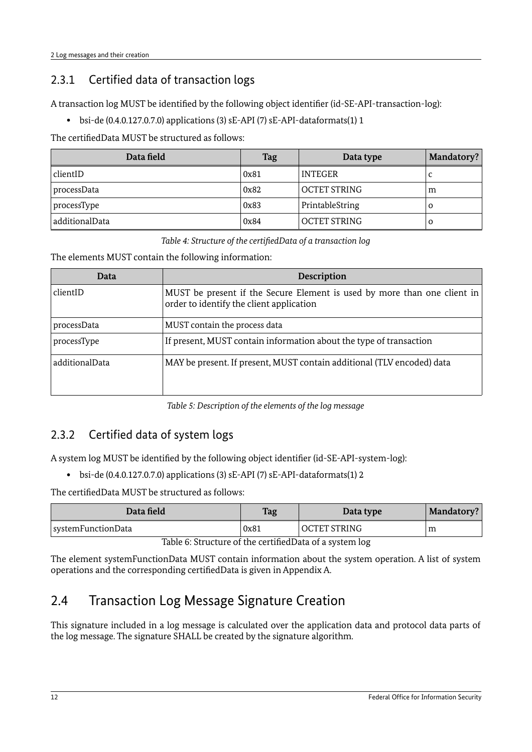## <span id="page-11-2"></span>2.3.1 Certified data of transaction logs

A transaction log MUST be identified by the following object identifier (id-SE-API-transaction-log):

• bsi-de (0.4.0.127.0.7.0) applications (3) sE-API (7) sE-API-dataformats(1) 1

The certifiedData MUST be structured as follows:

| Data field     | <b>Tag</b> | Data type           | Mandatory? |
|----------------|------------|---------------------|------------|
| clientID       | 0x81       | <b>INTEGER</b>      |            |
| processData    | 0x82       | <b>OCTET STRING</b> | m          |
| processType    | 0x83       | PrintableString     | $\Omega$   |
| additionalData | 0x84       | <b>OCTET STRING</b> | O          |

<span id="page-11-3"></span>*Table 4: Structure of the certifiedData of a transaction log*

The elements MUST contain the following information:

| Data           | Description                                                                                                          |
|----------------|----------------------------------------------------------------------------------------------------------------------|
| clientID       | MUST be present if the Secure Element is used by more than one client in<br>order to identify the client application |
| processData    | MUST contain the process data                                                                                        |
| processType    | If present, MUST contain information about the type of transaction                                                   |
| additionalData | MAY be present. If present, MUST contain additional (TLV encoded) data                                               |

*Table 5: Description of the elements of the log message*

## <span id="page-11-1"></span>2.3.2 Certified data of system logs

A system log MUST be identified by the following object identifier (id-SE-API-system-log):

• bsi-de (0.4.0.127.0.7.0) applications (3) sE-API (7) sE-API-dataformats(1) 2

The certifiedData MUST be structured as follows:

| Data field         | <b>Tag</b> | Data type           | <b>Mandatory?</b> |
|--------------------|------------|---------------------|-------------------|
| systemFunctionData | 0x81       | <b>OCTET STRING</b> | m                 |

Table 6: Structure of the certifiedData of a system log

The element systemFunctionData MUST contain information about the system operation. A list of system operations and the corresponding certifiedData is given in Appendix A.

## <span id="page-11-0"></span>2.4 Transaction Log Message Signature Creation

This signature included in a log message is calculated over the application data and protocol data parts of the log message. The signature SHALL be created by the signature algorithm.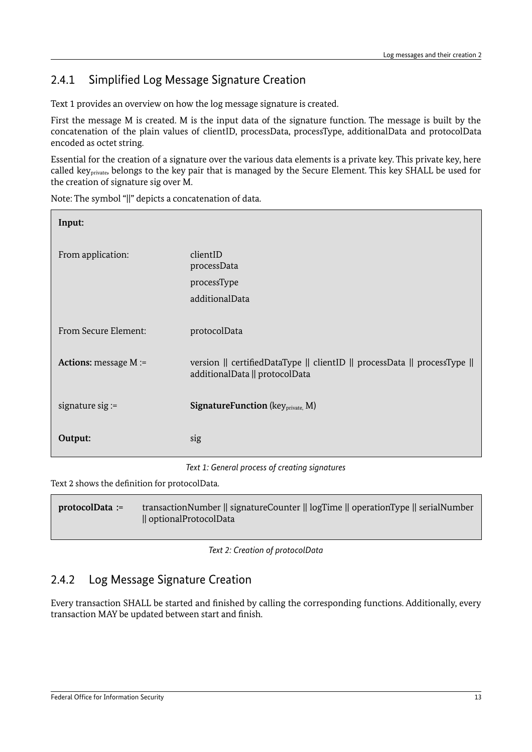## <span id="page-12-1"></span>2.4.1 Simplified Log Message Signature Creation

Text [1](#page-12-3) provides an overview on how the log message signature is created.

First the message M is created. M is the input data of the signature function. The message is built by the concatenation of the plain values of clientID, processData, processType, additionalData and protocolData encoded as octet string.

Essential for the creation of a signature over the various data elements is a private key. This private key, here called keyprivate, belongs to the key pair that is managed by the Secure Element. This key SHALL be used for the creation of signature sig over M.

Note: The symbol "||" depicts a concatenation of data.

| Input:                |                                                                                                                                                                                                                                 |  |
|-----------------------|---------------------------------------------------------------------------------------------------------------------------------------------------------------------------------------------------------------------------------|--|
| From application:     | clientID<br>processData                                                                                                                                                                                                         |  |
|                       | processType<br>additionalData                                                                                                                                                                                                   |  |
| From Secure Element:  | protocolData                                                                                                                                                                                                                    |  |
| Actions: message M := | version    certifiedDataType    clientID    processData    processType   <br>additionalData    protocolData                                                                                                                     |  |
| signature sig $:=$    | <b>SignatureFunction</b> (key <sub>private,</sub> M)                                                                                                                                                                            |  |
| Output:               | sig                                                                                                                                                                                                                             |  |
|                       | $\tau$ , and the set of the set of the set of the set of the set of the set of the set of the set of the set of the set of the set of the set of the set of the set of the set of the set of the set of the set of the set of t |  |

<span id="page-12-3"></span>*Text 1: General process of creating signatures*

[Text 2](#page-12-2) shows the definition for protocolData.

**protocolData :=** transactionNumber || signatureCounter || logTime || operationType || serialNumber || optionalProtocolData

<span id="page-12-2"></span>*Text 2: Creation of protocolData*

## <span id="page-12-0"></span>2.4.2 Log Message Signature Creation

Every transaction SHALL be started and finished by calling the corresponding functions. Additionally, every transaction MAY be updated between start and finish.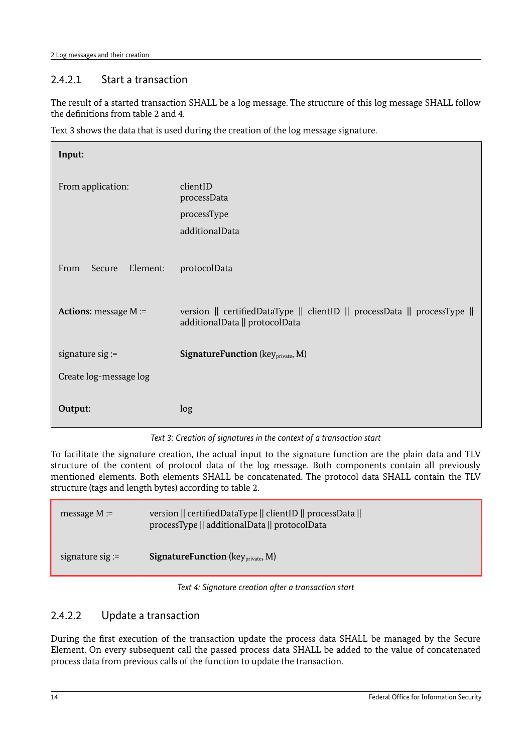## 2.4.2.1 Start a transaction

The result of a started transaction SHALL be a log message. The structure of this log message SHALL follow the definitions from table [2](#page-9-3) and [4.](#page-11-3)

Text [3](#page-13-0) shows the data that is used during the creation of the log message signature.

| Input:                                                                                                                               |                                                       |
|--------------------------------------------------------------------------------------------------------------------------------------|-------------------------------------------------------|
| From application:                                                                                                                    | clientID<br>processData                               |
|                                                                                                                                      | processType                                           |
|                                                                                                                                      | additionalData                                        |
| Element:<br>From<br>Secure                                                                                                           | protocolData                                          |
| Actions: message M :=<br>version    certifiedDataType    clientID    processData    processType   <br>additionalData    protocolData |                                                       |
| signature $sig :=$                                                                                                                   | <b>SignatureFunction</b> (key <sub>private</sub> , M) |
| Create log-message log                                                                                                               |                                                       |
| Output:                                                                                                                              | log                                                   |
|                                                                                                                                      |                                                       |

<span id="page-13-0"></span>*Text 3: Creation of signatures in the context of a transaction start*

To facilitate the signature creation, the actual input to the signature function are the plain data and TLV structure of the content of protocol data of the log message. Both components contain all previously mentioned elements. Both elements SHALL be concatenated. The protocol data SHALL contain the TLV structure (tags and length bytes) according to table [2.](#page-9-3)

| message $M =$      | version    certifiedDataType    clientID    processData   <br>processType    additionalData    protocolData |
|--------------------|-------------------------------------------------------------------------------------------------------------|
| signature sig $:=$ | <b>SignatureFunction</b> ( $key_{\text{private}}$ , M)                                                      |

*Text 4: Signature creation after a transaction start*

#### 2.4.2.2 Update a transaction

During the first execution of the transaction update the process data SHALL be managed by the Secure Element. On every subsequent call the passed process data SHALL be added to the value of concatenated process data from previous calls of the function to update the transaction.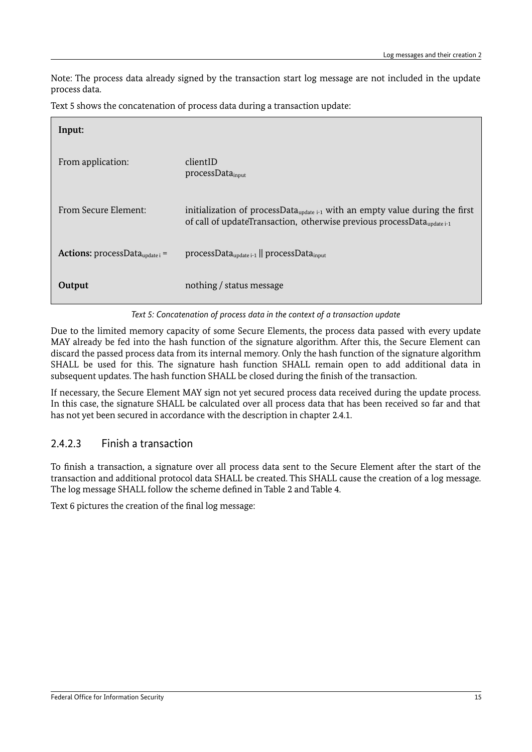Note: The process data already signed by the transaction start log message are not included in the update process data.

[Text 5](#page-14-0) shows the concatenation of process data during a transaction update:

| Input:                                                                                                         |                                                                                                                                                                                   |
|----------------------------------------------------------------------------------------------------------------|-----------------------------------------------------------------------------------------------------------------------------------------------------------------------------------|
| From application:                                                                                              | clientID<br>processData <sub>input</sub>                                                                                                                                          |
| From Secure Element:                                                                                           | initialization of processData <sub>update i-1</sub> with an empty value during the first<br>of call of updateTransaction, otherwise previous processData $_{u_{\text{oddate}}+1}$ |
| <b>Actions:</b> processData <sub>update i</sub> =<br>$processData_{update i-1}$   processData <sub>input</sub> |                                                                                                                                                                                   |
| Output                                                                                                         | nothing / status message                                                                                                                                                          |

<span id="page-14-0"></span>*Text 5: Concatenation of process data in the context of a transaction update*

Due to the limited memory capacity of some Secure Elements, the process data passed with every update MAY already be fed into the hash function of the signature algorithm. After this, the Secure Element can discard the passed process data from its internal memory. Only the hash function of the signature algorithm SHALL be used for this. The signature hash function SHALL remain open to add additional data in subsequent updates. The hash function SHALL be closed during the finish of the transaction.

If necessary, the Secure Element MAY sign not yet secured process data received during the update process. In this case, the signature SHALL be calculated over all process data that has been received so far and that has not yet been secured in accordance with the description in chapter [2.4.1.](#page-12-1)

## 2.4.2.3 Finish a transaction

To finish a transaction, a signature over all process data sent to the Secure Element after the start of the transaction and additional protocol data SHALL be created. This SHALL cause the creation of a log message. The log message SHALL follow the scheme defined in Table [2](#page-9-3) and Table [4.](#page-11-3)

[Text 6](#page-15-0) pictures the creation of the final log message: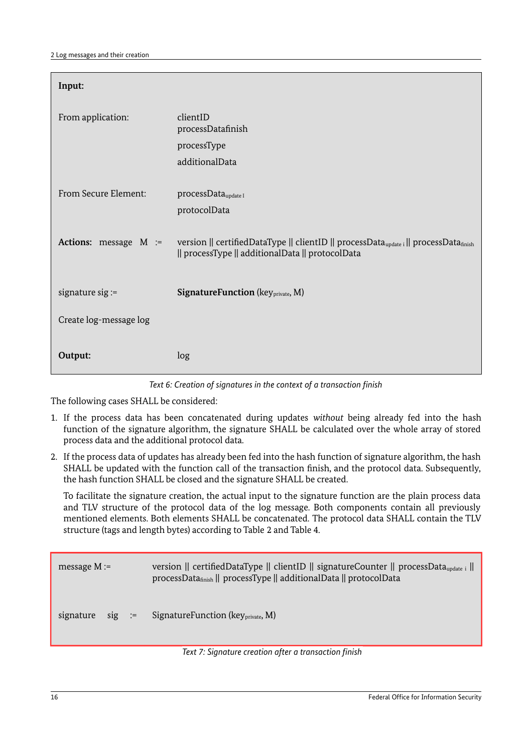| Input:                 |                                                                                                                                          |
|------------------------|------------------------------------------------------------------------------------------------------------------------------------------|
| From application:      | clientID<br>processDatafinish<br>processType<br>additionalData                                                                           |
| From Secure Element:   | processData <sub>update I</sub>                                                                                                          |
|                        | protocolData                                                                                                                             |
| Actions: message M :=  | version    certifiedDataType    clientID    processDataupdate i    processDatafinish<br>   processType    additionalData    protocolData |
| signature $sig :=$     | <b>SignatureFunction</b> (key <sub>private</sub> , M)                                                                                    |
| Create log-message log |                                                                                                                                          |
| Output:                | log                                                                                                                                      |

<span id="page-15-0"></span>*Text 6: Creation of signatures in the context of a transaction finish*

The following cases SHALL be considered:

- 1. If the process data has been concatenated during updates *without* being already fed into the hash function of the signature algorithm, the signature SHALL be calculated over the whole array of stored process data and the additional protocol data.
- 2. If the process data of updates has already been fed into the hash function of signature algorithm, the hash SHALL be updated with the function call of the transaction finish, and the protocol data. Subsequently, the hash function SHALL be closed and the signature SHALL be created.

To facilitate the signature creation, the actual input to the signature function are the plain process data and TLV structure of the protocol data of the log message. Both components contain all previously mentioned elements. Both elements SHALL be concatenated. The protocol data SHALL contain the TLV structure (tags and length bytes) according to Table [2](#page-9-3) and Table [4.](#page-11-3)

| message $M :=$ |          | version    certifiedDataType    clientID    signatureCounter    processData <sub>update i</sub>   <br>processData <sub>finish</sub>    processType    additionalData    protocolData |
|----------------|----------|--------------------------------------------------------------------------------------------------------------------------------------------------------------------------------------|
| signature      | $sig :=$ | Signature Function ( $key_{\text{private}}$ , M)                                                                                                                                     |

*Text 7: Signature creation after a transaction finish*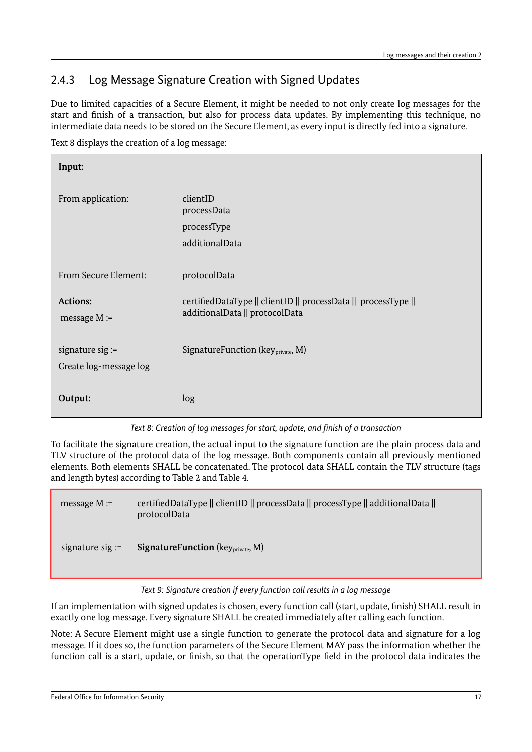## <span id="page-16-0"></span>2.4.3 Log Message Signature Creation with Signed Updates

Due to limited capacities of a Secure Element, it might be needed to not only create log messages for the start and finish of a transaction, but also for process data updates. By implementing this technique, no intermediate data needs to be stored on the Secure Element, as every input is directly fed into a signature.

[Text 8](#page-16-1) displays the creation of a log message:

| Input:                                       |                                                                                                  |
|----------------------------------------------|--------------------------------------------------------------------------------------------------|
| From application:                            | clientID<br>processData<br>processType<br>additionalData                                         |
| From Secure Element:                         | protocolData                                                                                     |
| Actions:<br>message $M :=$                   | certifiedDataType    clientID    processData    processType   <br>additionalData    protocolData |
| signature sig $:=$<br>Create log-message log | SignatureFunction (key <sub>private</sub> , M)                                                   |
| Output:                                      | log                                                                                              |

<span id="page-16-1"></span>*Text 8: Creation of log messages for start, update, and finish of a transaction*

To facilitate the signature creation, the actual input to the signature function are the plain process data and TLV structure of the protocol data of the log message. Both components contain all previously mentioned elements. Both elements SHALL be concatenated. The protocol data SHALL contain the TLV structure (tags and length bytes) according to Table [2](#page-9-3) and Table [4.](#page-11-3)

| message $M :=$     | certifiedDataType    clientID    processData    processType    additionalData   <br>protocolData |
|--------------------|--------------------------------------------------------------------------------------------------|
| signature $sig :=$ | <b>SignatureFunction</b> ( $key_{private}$ , M)                                                  |

#### *Text 9: Signature creation if every function call results in a log message*

If an implementation with signed updates is chosen, every function call (start, update, finish) SHALL result in exactly one log message. Every signature SHALL be created immediately after calling each function.

Note: A Secure Element might use a single function to generate the protocol data and signature for a log message. If it does so, the function parameters of the Secure Element MAY pass the information whether the function call is a start, update, or finish, so that the operationType field in the protocol data indicates the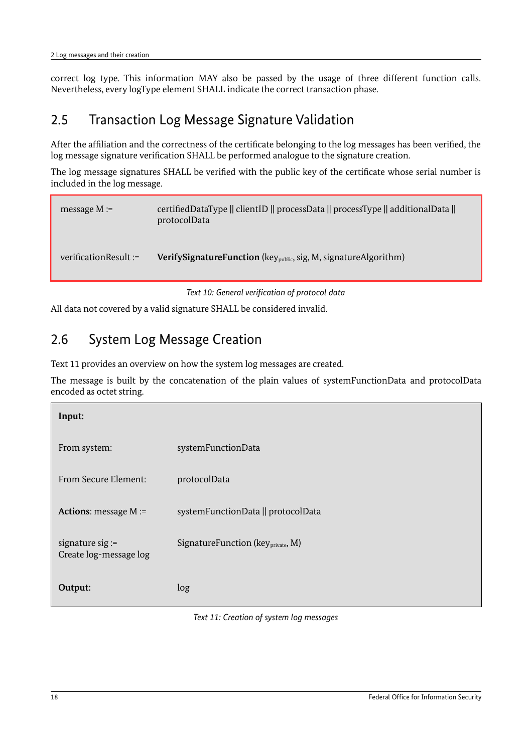correct log type. This information MAY also be passed by the usage of three different function calls. Nevertheless, every logType element SHALL indicate the correct transaction phase.

## <span id="page-17-1"></span>2.5 Transaction Log Message Signature Validation

After the affiliation and the correctness of the certificate belonging to the log messages has been verified, the log message signature verification SHALL be performed analogue to the signature creation.

The log message signatures SHALL be verified with the public key of the certificate whose serial number is included in the log message.

```
 message M := certifiedDataType || clientID || processData || processType || additionalData || 
                         protocolData 
verificationResult := VerifySignatureFunction (key<sub>public</sub>, sig, M, signatureAlgorithm)
```
*Text 10: General verification of protocol data*

All data not covered by a valid signature SHALL be considered invalid.

## <span id="page-17-0"></span>2.6 System Log Message Creation

Text [11](#page-17-2) provides an overview on how the system log messages are created.

The message is built by the concatenation of the plain values of systemFunctionData and protocolData encoded as octet string.

| Input:                                       |                                                |  |
|----------------------------------------------|------------------------------------------------|--|
| From system:                                 | systemFunctionData                             |  |
| From Secure Element:                         | protocolData                                   |  |
| <b>Actions:</b> message $M :=$               | systemFunctionData    protocolData             |  |
| signature sig $:=$<br>Create log-message log | SignatureFunction (key <sub>private</sub> , M) |  |
| Output:                                      | log                                            |  |

<span id="page-17-2"></span>*Text 11: Creation of system log messages*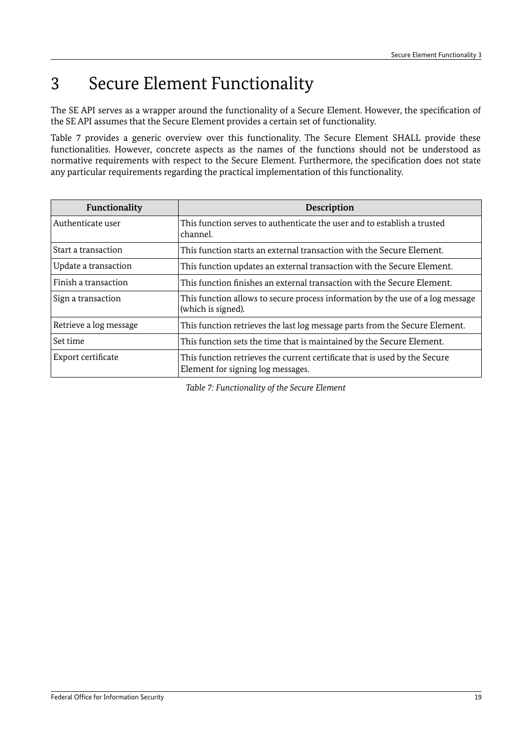## <span id="page-18-0"></span>3 Secure Element Functionality

The SE API serves as a wrapper around the functionality of a Secure Element. However, the specification of the SE API assumes that the Secure Element provides a certain set of functionality.

Table [7](#page-18-1) provides a generic overview over this functionality. The Secure Element SHALL provide these functionalities. However, concrete aspects as the names of the functions should not be understood as normative requirements with respect to the Secure Element. Furthermore, the specification does not state any particular requirements regarding the practical implementation of this functionality.

| Functionality          | <b>Description</b>                                                                                              |  |  |
|------------------------|-----------------------------------------------------------------------------------------------------------------|--|--|
| Authenticate user      | This function serves to authenticate the user and to establish a trusted<br>channel.                            |  |  |
| Start a transaction    | This function starts an external transaction with the Secure Element.                                           |  |  |
| Update a transaction   | This function updates an external transaction with the Secure Element.                                          |  |  |
| Finish a transaction   | This function finishes an external transaction with the Secure Element.                                         |  |  |
| Sign a transaction     | This function allows to secure process information by the use of a log message<br>(which is signed).            |  |  |
| Retrieve a log message | This function retrieves the last log message parts from the Secure Element.                                     |  |  |
| Set time               | This function sets the time that is maintained by the Secure Element.                                           |  |  |
| Export certificate     | This function retrieves the current certificate that is used by the Secure<br>Element for signing log messages. |  |  |

<span id="page-18-1"></span>*Table 7: Functionality of the Secure Element*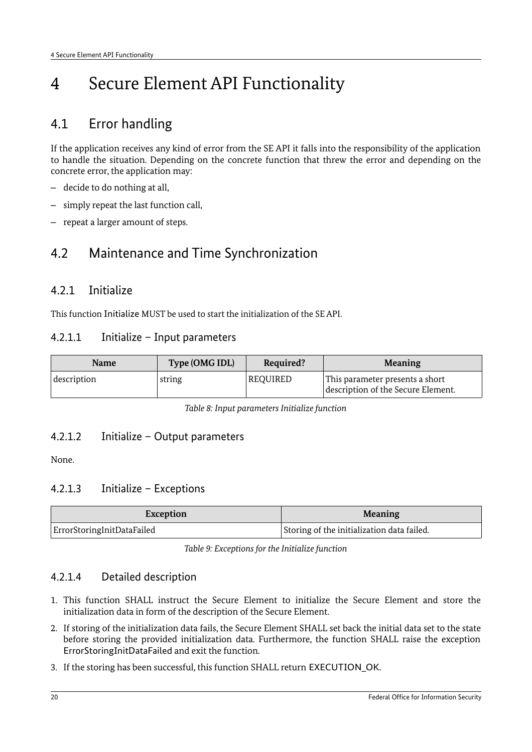## <span id="page-19-3"></span>4 Secure Element API Functionality

## <span id="page-19-2"></span>4.1 Error handling

If the application receives any kind of error from the SE API it falls into the responsibility of the application to handle the situation. Depending on the concrete function that threw the error and depending on the concrete error, the application may:

- decide to do nothing at all,
- simply repeat the last function call,
- repeat a larger amount of steps.

## <span id="page-19-1"></span>4.2 Maintenance and Time Synchronization

#### <span id="page-19-0"></span>4.2.1 Initialize

This function Initialize MUST be used to start the initialization of the SE API.

#### 4.2.1.1 Initialize – Input parameters

| <b>Name</b> | Type (OMG IDL) | Required? | <b>Meaning</b>                                                        |
|-------------|----------------|-----------|-----------------------------------------------------------------------|
| description | string         | REQUIRED  | This parameter presents a short<br>description of the Secure Element. |

*Table 8: Input parameters Initialize function*

#### 4.2.1.2 Initialize – Output parameters

None.

#### 4.2.1.3 Initialize – Exceptions

| Exception                  | <b>Meaning</b>                             |  |
|----------------------------|--------------------------------------------|--|
| ErrorStoringInitDataFailed | Storing of the initialization data failed. |  |

*Table 9: Exceptions for the Initialize function*

#### 4.2.1.4 Detailed description

- 1. This function SHALL instruct the Secure Element to initialize the Secure Element and store the initialization data in form of the description of the Secure Element.
- 2. If storing of the initialization data fails, the Secure Element SHALL set back the initial data set to the state before storing the provided initialization data. Furthermore, the function SHALL raise the exception ErrorStoringInitDataFailed and exit the function.
- 3. If the storing has been successful, this function SHALL return EXECUTION\_OK.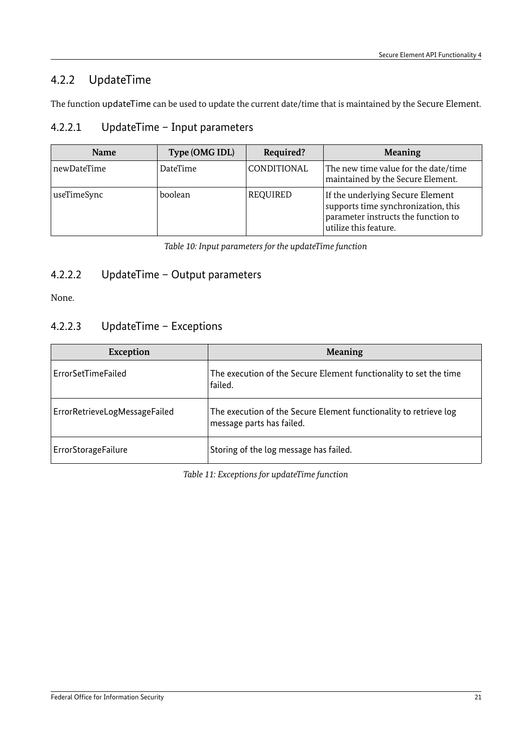## <span id="page-20-0"></span>4.2.2 UpdateTime

The function updateTime can be used to update the current date/time that is maintained by the Secure Element.

## 4.2.2.1 UpdateTime – Input parameters

| <b>Name</b> | Type (OMG IDL) | Required?   | <b>Meaning</b>                                                                                                                          |
|-------------|----------------|-------------|-----------------------------------------------------------------------------------------------------------------------------------------|
| newDateTime | DateTime       | CONDITIONAL | The new time value for the date/time<br>maintained by the Secure Element.                                                               |
| useTimeSync | boolean        | REQUIRED    | If the underlying Secure Element<br>supports time synchronization, this<br>parameter instructs the function to<br>utilize this feature. |

*Table 10: Input parameters for the updateTime function*

### 4.2.2.2 UpdateTime – Output parameters

None.

#### 4.2.2.3 UpdateTime – Exceptions

| <b>Exception</b>              | <b>Meaning</b>                                                                                 |
|-------------------------------|------------------------------------------------------------------------------------------------|
| ErrorSetTimeFailed            | The execution of the Secure Element functionality to set the time<br>failed.                   |
| ErrorRetrieveLogMessageFailed | The execution of the Secure Element functionality to retrieve log<br>message parts has failed. |
| <b>ErrorStorageFailure</b>    | Storing of the log message has failed.                                                         |

*Table 11: Exceptions for updateTime function*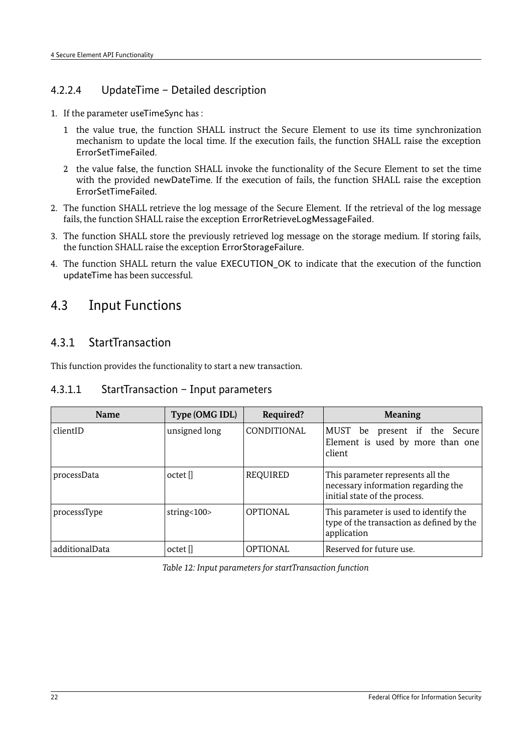#### 4.2.2.4 UpdateTime – Detailed description

- 1. If the parameter useTimeSync has :
	- 1 the value true, the function SHALL instruct the Secure Element to use its time synchronization mechanism to update the local time. If the execution fails, the function SHALL raise the exception ErrorSetTimeFailed.
	- 2 the value false, the function SHALL invoke the functionality of the Secure Element to set the time with the provided newDateTime. If the execution of fails, the function SHALL raise the exception ErrorSetTimeFailed.
- 2. The function SHALL retrieve the log message of the Secure Element. If the retrieval of the log message fails, the function SHALL raise the exception ErrorRetrieveLogMessageFailed.
- 3. The function SHALL store the previously retrieved log message on the storage medium. If storing fails, the function SHALL raise the exception ErrorStorageFailure.
- 4. The function SHALL return the value EXECUTION OK to indicate that the execution of the function updateTime has been successful.

## <span id="page-21-1"></span>4.3 Input Functions

### <span id="page-21-0"></span>4.3.1 StartTransaction

This function provides the functionality to start a new transaction.

#### 4.3.1.1 StartTransaction – Input parameters

| <b>Name</b>    | Type (OMG IDL) | Required?          | <b>Meaning</b>                                                                                            |
|----------------|----------------|--------------------|-----------------------------------------------------------------------------------------------------------|
| clientID       | unsigned long  | <b>CONDITIONAL</b> | MUST be present if the Secure<br>Element is used by more than one<br>client                               |
| processData    | octet          | REQUIRED           | This parameter represents all the<br>necessary information regarding the<br>initial state of the process. |
| processsType   | string< $100$  | <b>OPTIONAL</b>    | This parameter is used to identify the<br>type of the transaction as defined by the<br>application        |
| additionalData | octet          | <b>OPTIONAL</b>    | Reserved for future use.                                                                                  |

*Table 12: Input parameters for startTransaction function*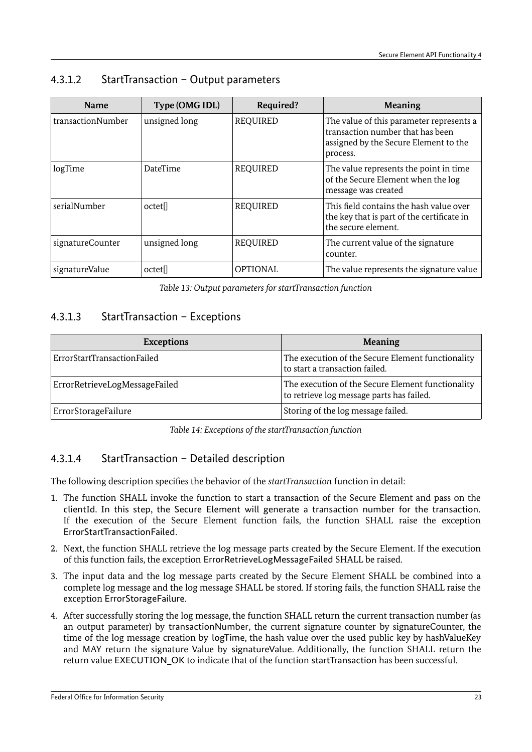## 4.3.1.2 StartTransaction – Output parameters

| <b>Name</b>       | Type (OMG IDL)      | Required?       | <b>Meaning</b>                                                                                                                    |
|-------------------|---------------------|-----------------|-----------------------------------------------------------------------------------------------------------------------------------|
| transactionNumber | unsigned long       | <b>REQUIRED</b> | The value of this parameter represents a<br>transaction number that has been<br>assigned by the Secure Element to the<br>process. |
| logTime           | <b>DateTime</b>     | <b>REQUIRED</b> | The value represents the point in time<br>of the Secure Element when the log<br>message was created                               |
| serialNumber      | octet <sub>[]</sub> | <b>REQUIRED</b> | This field contains the hash value over<br>the key that is part of the certificate in<br>the secure element.                      |
| signatureCounter  | unsigned long       | <b>REQUIRED</b> | The current value of the signature<br>counter.                                                                                    |
| signatureValue    | octet <sub>[]</sub> | <b>OPTIONAL</b> | The value represents the signature value                                                                                          |

*Table 13: Output parameters for startTransaction function*

#### 4.3.1.3 StartTransaction – Exceptions

| <b>Exceptions</b>             | <b>Meaning</b>                                                                                 |
|-------------------------------|------------------------------------------------------------------------------------------------|
| ErrorStartTransactionFailed   | The execution of the Secure Element functionality<br>to start a transaction failed.            |
| ErrorRetrieveLogMessageFailed | The execution of the Secure Element functionality<br>to retrieve log message parts has failed. |
| ErrorStorageFailure           | Storing of the log message failed.                                                             |

*Table 14: Exceptions of the startTransaction function*

## 4.3.1.4 StartTransaction – Detailed description

The following description specifies the behavior of the *startTransaction* function in detail:

- 1. The function SHALL invoke the function to start a transaction of the Secure Element and pass on the clientId. In this step, the Secure Element will generate a transaction number for the transaction. If the execution of the Secure Element function fails, the function SHALL raise the exception ErrorStartTransactionFailed.
- 2. Next, the function SHALL retrieve the log message parts created by the Secure Element. If the execution of this function fails, the exception ErrorRetrieveLogMessageFailed SHALL be raised.
- 3. The input data and the log message parts created by the Secure Element SHALL be combined into a complete log message and the log message SHALL be stored. If storing fails, the function SHALL raise the exception ErrorStorageFailure.
- 4. After successfully storing the log message, the function SHALL return the current transaction number (as an output parameter) by transactionNumber, the current signature counter by signatureCounter, the time of the log message creation by logTime, the hash value over the used public key by hashValueKey and MAY return the signature Value by signatureValue. Additionally, the function SHALL return the return value EXECUTION OK to indicate that of the function startTransaction has been successful.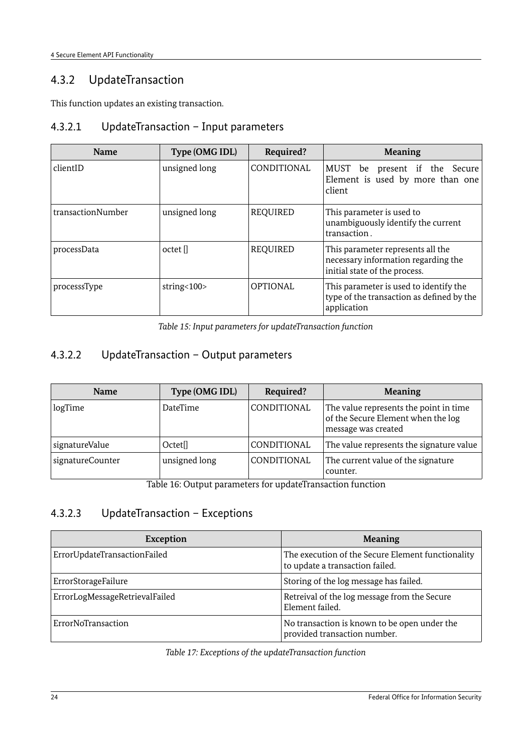## <span id="page-23-0"></span>4.3.2 UpdateTransaction

This function updates an existing transaction.

### 4.3.2.1 UpdateTransaction – Input parameters

| <b>Name</b>       | Type (OMG IDL) | Required?       | <b>Meaning</b>                                                                                            |  |
|-------------------|----------------|-----------------|-----------------------------------------------------------------------------------------------------------|--|
| clientID          | unsigned long  | CONDITIONAL     | MUST be present if the Secure<br>Element is used by more than one<br>client                               |  |
| transactionNumber | unsigned long  | <b>REQUIRED</b> | This parameter is used to<br>unambiguously identify the current<br>transaction.                           |  |
| processData       | octet          | <b>REQUIRED</b> | This parameter represents all the<br>necessary information regarding the<br>initial state of the process. |  |
| processsType      | string< $100$  | <b>OPTIONAL</b> | This parameter is used to identify the<br>type of the transaction as defined by the<br>application        |  |

*Table 15: Input parameters for updateTransaction function*

## 4.3.2.2 UpdateTransaction – Output parameters

| <b>Name</b>      | Type (OMG IDL)      | Required?   | <b>Meaning</b>                                                                                      |
|------------------|---------------------|-------------|-----------------------------------------------------------------------------------------------------|
| logTime          | <b>DateTime</b>     | CONDITIONAL | The value represents the point in time<br>of the Secure Element when the log<br>message was created |
| signatureValue   | Octet <sup>[]</sup> | CONDITIONAL | The value represents the signature value                                                            |
| signatureCounter | unsigned long       | CONDITIONAL | The current value of the signature<br>counter.                                                      |

Table 16: Output parameters for updateTransaction function

### 4.3.2.3 UpdateTransaction – Exceptions

| <b>Exception</b>               | <b>Meaning</b>                                                                       |
|--------------------------------|--------------------------------------------------------------------------------------|
| ErrorUpdateTransactionFailed   | The execution of the Secure Element functionality<br>to update a transaction failed. |
| ErrorStorageFailure            | Storing of the log message has failed.                                               |
| ErrorLogMessageRetrievalFailed | Retreival of the log message from the Secure<br>Element failed.                      |
| ErrorNoTransaction             | No transaction is known to be open under the<br>provided transaction number.         |

*Table 17: Exceptions of the updateTransaction function*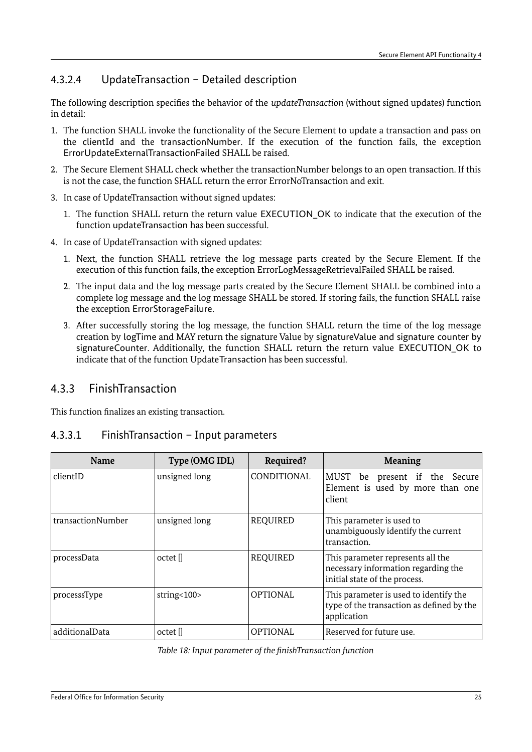## 4.3.2.4 UpdateTransaction – Detailed description

The following description specifies the behavior of the *updateTransaction* (without signed updates) function in detail:

- 1. The function SHALL invoke the functionality of the Secure Element to update a transaction and pass on the clientId and the transactionNumber. If the execution of the function fails, the exception ErrorUpdateExternalTransactionFailed SHALL be raised.
- 2. The Secure Element SHALL check whether the transactionNumber belongs to an open transaction. If this is not the case, the function SHALL return the error ErrorNoTransaction and exit.
- 3. In case of UpdateTransaction without signed updates:
	- 1. The function SHALL return the return value EXECUTION OK to indicate that the execution of the function updateTransaction has been successful.
- 4. In case of UpdateTransaction with signed updates:
	- 1. Next, the function SHALL retrieve the log message parts created by the Secure Element. If the execution of this function fails, the exception ErrorLogMessageRetrievalFailed SHALL be raised.
	- 2. The input data and the log message parts created by the Secure Element SHALL be combined into a complete log message and the log message SHALL be stored. If storing fails, the function SHALL raise the exception ErrorStorageFailure.
	- 3. After successfully storing the log message, the function SHALL return the time of the log message creation by logTime and MAY return the signature Value by signatureValue and signature counter by signatureCounter. Additionally, the function SHALL return the return value EXECUTION OK to indicate that of the function UpdateTransaction has been successful.

## <span id="page-24-0"></span>4.3.3 FinishTransaction

This function finalizes an existing transaction.

#### 4.3.3.1 FinishTransaction – Input parameters

| <b>Name</b>       | Type (OMG IDL) | Required?       | <b>Meaning</b>                                                                                            |
|-------------------|----------------|-----------------|-----------------------------------------------------------------------------------------------------------|
| clientID          | unsigned long  | CONDITIONAL     | MUST be present if the Secure<br>Element is used by more than one<br>client                               |
| transactionNumber | unsigned long  | <b>REQUIRED</b> | This parameter is used to<br>unambiguously identify the current<br>transaction.                           |
| processData       | octet []       | <b>REQUIRED</b> | This parameter represents all the<br>necessary information regarding the<br>initial state of the process. |
| processsType      | string< $100$  | <b>OPTIONAL</b> | This parameter is used to identify the<br>type of the transaction as defined by the<br>application        |
| additionalData    | octet []       | <b>OPTIONAL</b> | Reserved for future use.                                                                                  |

*Table 18: Input parameter of the finishTransaction function*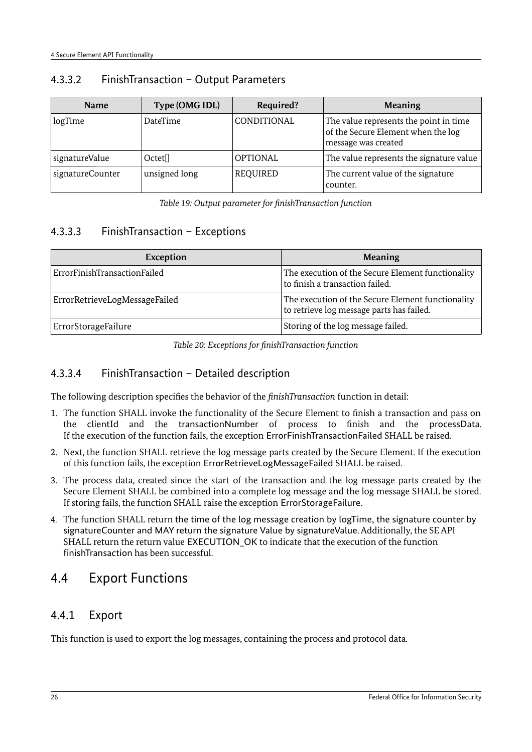| <b>Name</b>      | Type (OMG IDL)      | Required?       | <b>Meaning</b>                                                                                      |
|------------------|---------------------|-----------------|-----------------------------------------------------------------------------------------------------|
| logTime          | DateTime            | CONDITIONAL     | The value represents the point in time<br>of the Secure Element when the log<br>message was created |
| signatureValue   | Octet <sup>[]</sup> | <b>OPTIONAL</b> | The value represents the signature value                                                            |
| signatureCounter | unsigned long       | <b>REQUIRED</b> | The current value of the signature<br>counter.                                                      |

#### 4.3.3.2 FinishTransaction – Output Parameters

*Table 19: Output parameter for finishTransaction function*

### 4.3.3.3 FinishTransaction – Exceptions

| Exception                     | <b>Meaning</b>                                                                                 |
|-------------------------------|------------------------------------------------------------------------------------------------|
| ErrorFinishTransactionFailed  | The execution of the Secure Element functionality<br>to finish a transaction failed.           |
| ErrorRetrieveLogMessageFailed | The execution of the Secure Element functionality<br>to retrieve log message parts has failed. |
| ErrorStorageFailure           | Storing of the log message failed.                                                             |

*Table 20: Exceptions for finishTransaction function*

### 4.3.3.4 FinishTransaction – Detailed description

The following description specifies the behavior of the *finishTransaction* function in detail:

- 1. The function SHALL invoke the functionality of the Secure Element to finish a transaction and pass on the clientId and the transactionNumber of process to finish and the processData. If the execution of the function fails, the exception ErrorFinishTransactionFailed SHALL be raised.
- 2. Next, the function SHALL retrieve the log message parts created by the Secure Element. If the execution of this function fails, the exception ErrorRetrieveLogMessageFailed SHALL be raised.
- 3. The process data, created since the start of the transaction and the log message parts created by the Secure Element SHALL be combined into a complete log message and the log message SHALL be stored. If storing fails, the function SHALL raise the exception ErrorStorageFailure.
- 4. The function SHALL return the time of the log message creation by logTime, the signature counter by signatureCounter and MAY return the signature Value by signatureValue. Additionally, the SE API SHALL return the return value EXECUTION OK to indicate that the execution of the function finishTransaction has been successful.

## <span id="page-25-1"></span>4.4 Export Functions

## <span id="page-25-0"></span>4.4.1 Export

This function is used to export the log messages, containing the process and protocol data.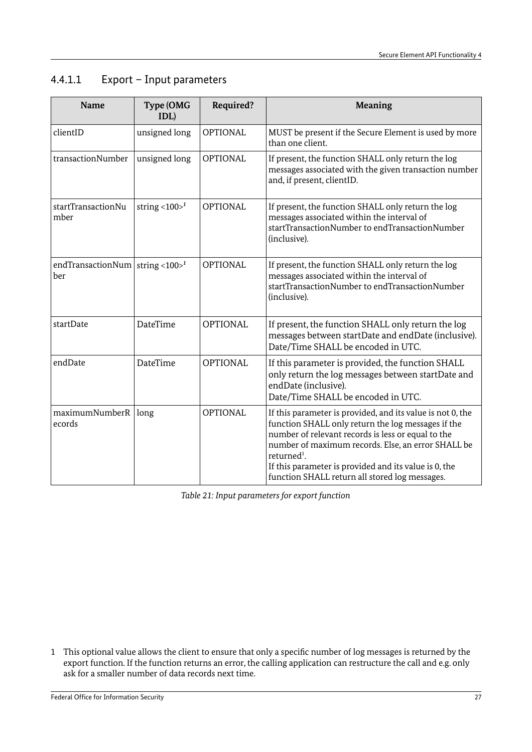| <b>Name</b>                               | Type (OMG<br>IDL)               | Required?       | <b>Meaning</b>                                                                                                                                                                                                                                                                                                                                                     |
|-------------------------------------------|---------------------------------|-----------------|--------------------------------------------------------------------------------------------------------------------------------------------------------------------------------------------------------------------------------------------------------------------------------------------------------------------------------------------------------------------|
| clientID                                  | unsigned long                   | <b>OPTIONAL</b> | MUST be present if the Secure Element is used by more<br>than one client.                                                                                                                                                                                                                                                                                          |
| transactionNumber                         | unsigned long                   | <b>OPTIONAL</b> | If present, the function SHALL only return the log<br>messages associated with the given transaction number<br>and, if present, clientID.                                                                                                                                                                                                                          |
| startTransactionNu<br>mber                | string $<$ 100 $>$ <sup>1</sup> | <b>OPTIONAL</b> | If present, the function SHALL only return the log<br>messages associated within the interval of<br>startTransactionNumber to endTransactionNumber<br>(inclusive).                                                                                                                                                                                                 |
| endTransactionNum string <100 $>1$<br>ber |                                 | <b>OPTIONAL</b> | If present, the function SHALL only return the log<br>messages associated within the interval of<br>startTransactionNumber to endTransactionNumber<br>(inclusive).                                                                                                                                                                                                 |
| startDate                                 | DateTime                        | <b>OPTIONAL</b> | If present, the function SHALL only return the log<br>messages between startDate and endDate (inclusive).<br>Date/Time SHALL be encoded in UTC.                                                                                                                                                                                                                    |
| endDate                                   | DateTime                        | <b>OPTIONAL</b> | If this parameter is provided, the function SHALL<br>only return the log messages between startDate and<br>endDate (inclusive).<br>Date/Time SHALL be encoded in UTC.                                                                                                                                                                                              |
| maximumNumberR<br>ecords                  | long                            | <b>OPTIONAL</b> | If this parameter is provided, and its value is not 0, the<br>function SHALL only return the log messages if the<br>number of relevant records is less or equal to the<br>number of maximum records. Else, an error SHALL be<br>returned <sup>1</sup> .<br>If this parameter is provided and its value is 0, the<br>function SHALL return all stored log messages. |

## 4.4.1.1 Export – Input parameters

*Table 21: Input parameters for export function*

<span id="page-26-0"></span>1 This optional value allows the client to ensure that only a specific number of log messages is returned by the export function. If the function returns an error, the calling application can restructure the call and e.g. only ask for a smaller number of data records next time.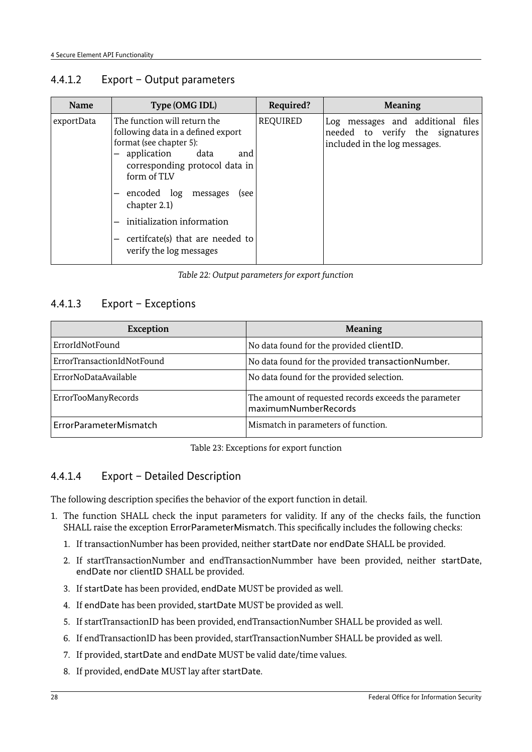#### 4.4.1.2 Export – Output parameters

| Name       | Type (OMG IDL)                                                                                                                                                                                                                                                                                                                        | Required?       | <b>Meaning</b>                                                                                        |
|------------|---------------------------------------------------------------------------------------------------------------------------------------------------------------------------------------------------------------------------------------------------------------------------------------------------------------------------------------|-----------------|-------------------------------------------------------------------------------------------------------|
| exportData | The function will return the<br>following data in a defined export<br>format (see chapter 5):<br>- application<br>data<br>and<br>corresponding protocol data in<br>form of TLV<br>- encoded log<br>messages<br>(see<br>chapter 2.1)<br>- initialization information<br>- certificate(s) that are needed to<br>verify the log messages | <b>REQUIRED</b> | Log messages and additional files<br>needed to verify the signatures<br>included in the log messages. |

#### *Table 22: Output parameters for export function*

### 4.4.1.3 Export – Exceptions

| <b>Exception</b>           | <b>Meaning</b>                                                                |
|----------------------------|-------------------------------------------------------------------------------|
| ErrorIdNotFound            | No data found for the provided clientID.                                      |
| ErrorTransactionIdNotFound | No data found for the provided transactionNumber.                             |
| ErrorNoDataAvailable       | No data found for the provided selection.                                     |
| ErrorTooManyRecords        | The amount of requested records exceeds the parameter<br>maximumNumberRecords |
| ErrorParameterMismatch     | Mismatch in parameters of function.                                           |

Table 23: Exceptions for export function

## 4.4.1.4 Export – Detailed Description

The following description specifies the behavior of the export function in detail.

- 1. The function SHALL check the input parameters for validity. If any of the checks fails, the function SHALL raise the exception ErrorParameterMismatch. This specifically includes the following checks:
	- 1. If transactionNumber has been provided, neither startDate nor endDate SHALL be provided.
	- 2. If startTransactionNumber and endTransactionNummber have been provided, neither startDate, endDate nor clientID SHALL be provided.
	- 3. If startDate has been provided, endDate MUST be provided as well.
	- 4. If endDate has been provided, startDate MUST be provided as well.
	- 5. If startTransactionID has been provided, endTransactionNumber SHALL be provided as well.
	- 6. If endTransactionID has been provided, startTransactionNumber SHALL be provided as well.
	- 7. If provided, startDate and endDate MUST be valid date/time values.
	- 8. If provided, endDate MUST lay after startDate.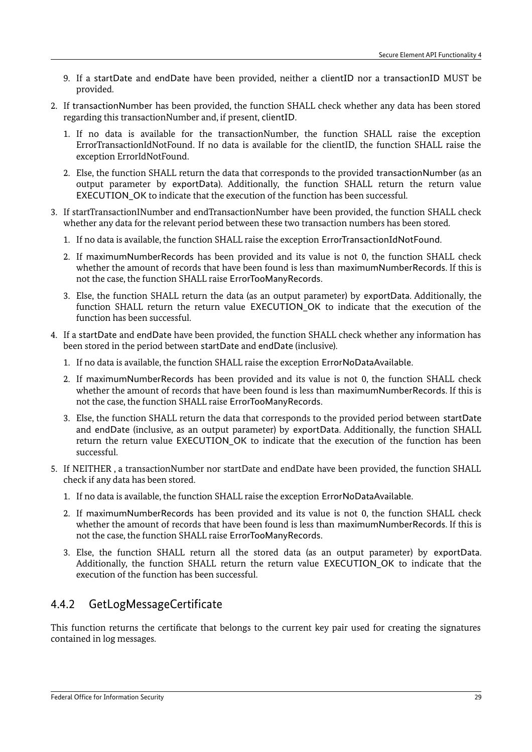- 9. If a startDate and endDate have been provided, neither a clientID nor a transactionID MUST be provided.
- 2. If transactionNumber has been provided, the function SHALL check whether any data has been stored regarding this transactionNumber and, if present, clientID.
	- 1. If no data is available for the transactionNumber, the function SHALL raise the exception ErrorTransactionIdNotFound. If no data is available for the clientID, the function SHALL raise the exception ErrorIdNotFound.
	- 2. Else, the function SHALL return the data that corresponds to the provided transactionNumber (as an output parameter by exportData). Additionally, the function SHALL return the return value EXECUTION OK to indicate that the execution of the function has been successful.
- 3. If startTransactionINumber and endTransactionNumber have been provided, the function SHALL check whether any data for the relevant period between these two transaction numbers has been stored.
	- 1. If no data is available, the function SHALL raise the exception ErrorTransactionIdNotFound.
	- 2. If maximumNumberRecords has been provided and its value is not 0, the function SHALL check whether the amount of records that have been found is less than maximumNumberRecords. If this is not the case, the function SHALL raise ErrorTooManyRecords.
	- 3. Else, the function SHALL return the data (as an output parameter) by exportData. Additionally, the function SHALL return the return value EXECUTION\_OK to indicate that the execution of the function has been successful.
- 4. If a startDate and endDate have been provided, the function SHALL check whether any information has been stored in the period between startDate and endDate (inclusive).
	- 1. If no data is available, the function SHALL raise the exception ErrorNoDataAvailable.
	- 2. If maximumNumberRecords has been provided and its value is not 0, the function SHALL check whether the amount of records that have been found is less than maximumNumberRecords. If this is not the case, the function SHALL raise ErrorTooManyRecords.
	- 3. Else, the function SHALL return the data that corresponds to the provided period between startDate and endDate (inclusive, as an output parameter) by exportData. Additionally, the function SHALL return the return value EXECUTION OK to indicate that the execution of the function has been successful.
- 5. If NEITHER , a transactionNumber nor startDate and endDate have been provided, the function SHALL check if any data has been stored.
	- 1. If no data is available, the function SHALL raise the exception ErrorNoDataAvailable.
	- 2. If maximumNumberRecords has been provided and its value is not 0, the function SHALL check whether the amount of records that have been found is less than maximumNumberRecords. If this is not the case, the function SHALL raise ErrorTooManyRecords.
	- 3. Else, the function SHALL return all the stored data (as an output parameter) by exportData. Additionally, the function SHALL return the return value EXECUTION\_OK to indicate that the execution of the function has been successful.

## <span id="page-28-0"></span>4.4.2 GetLogMessageCertificate

This function returns the certificate that belongs to the current key pair used for creating the signatures contained in log messages.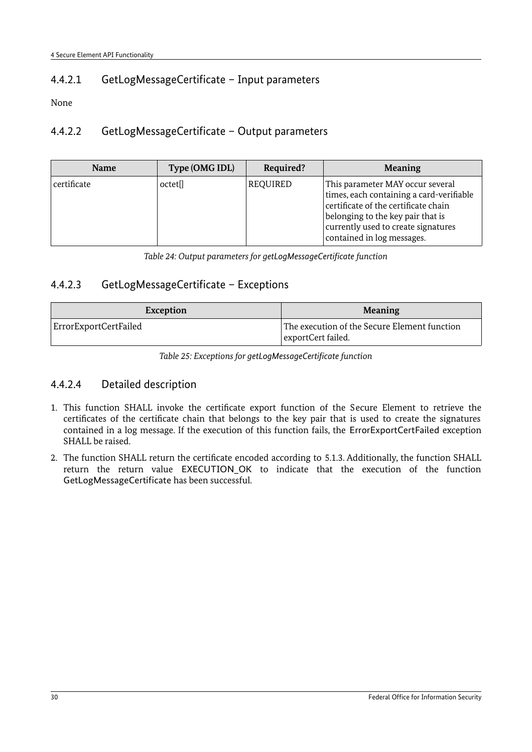## 4.4.2.1 GetLogMessageCertificate – Input parameters

None

### 4.4.2.2 GetLogMessageCertificate – Output parameters

| <b>Name</b> | Type (OMG IDL)      | Required? | <b>Meaning</b>                                                                                                                                                                                                                 |
|-------------|---------------------|-----------|--------------------------------------------------------------------------------------------------------------------------------------------------------------------------------------------------------------------------------|
| certificate | octet <sup>[]</sup> | REQUIRED  | This parameter MAY occur several<br>times, each containing a card-verifiable<br>certificate of the certificate chain<br>belonging to the key pair that is<br>currently used to create signatures<br>contained in log messages. |

*Table 24: Output parameters for getLogMessageCertificate function*

### 4.4.2.3 GetLogMessageCertificate – Exceptions

| Exception             | <b>Meaning</b>                                                     |
|-----------------------|--------------------------------------------------------------------|
| ErrorExportCertFailed | The execution of the Secure Element function<br>exportCert failed. |

*Table 25: Exceptions for getLogMessageCertificate function*

#### 4.4.2.4 Detailed description

- 1. This function SHALL invoke the certificate export function of the Secure Element to retrieve the certificates of the certificate chain that belongs to the key pair that is used to create the signatures contained in a log message. If the execution of this function fails, the ErrorExportCertFailed exception SHALL be raised.
- 2. The function SHALL return the certificate encoded according to [5.1.3.](#page-33-0) Additionally, the function SHALL return the return value EXECUTION\_OK to indicate that the execution of the function GetLogMessageCertificate has been successful.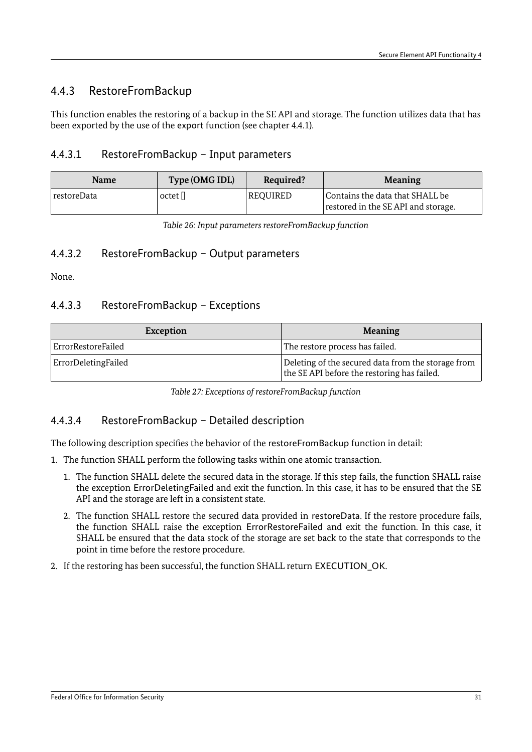## <span id="page-30-0"></span>4.4.3 RestoreFromBackup

This function enables the restoring of a backup in the SE API and storage. The function utilizes data that has been exported by the use of the export function (see chapter [4.4.1\)](#page-25-0).

#### 4.4.3.1 RestoreFromBackup – Input parameters

| <b>Name</b> | Type (OMG IDL) | Required? | <b>Meaning</b>                                                         |
|-------------|----------------|-----------|------------------------------------------------------------------------|
| restoreData | octet []       | REQUIRED  | Contains the data that SHALL be<br>restored in the SE API and storage. |

*Table 26: Input parameters restoreFromBackup function*

#### 4.4.3.2 RestoreFromBackup – Output parameters

None.

#### 4.4.3.3 RestoreFromBackup – Exceptions

| Exception           | <b>Meaning</b>                                                                                    |
|---------------------|---------------------------------------------------------------------------------------------------|
| ErrorRestoreFailed  | The restore process has failed.                                                                   |
| ErrorDeletingFailed | Deleting of the secured data from the storage from<br>the SE API before the restoring has failed. |

*Table 27: Exceptions of restoreFromBackup function*

#### 4.4.3.4 RestoreFromBackup – Detailed description

The following description specifies the behavior of the restoreFromBackup function in detail:

- 1. The function SHALL perform the following tasks within one atomic transaction.
	- 1. The function SHALL delete the secured data in the storage. If this step fails, the function SHALL raise the exception ErrorDeletingFailed and exit the function. In this case, it has to be ensured that the SE API and the storage are left in a consistent state.
	- 2. The function SHALL restore the secured data provided in restoreData. If the restore procedure fails, the function SHALL raise the exception ErrorRestoreFailed and exit the function. In this case, it SHALL be ensured that the data stock of the storage are set back to the state that corresponds to the point in time before the restore procedure.
- 2. If the restoring has been successful, the function SHALL return EXECUTION OK.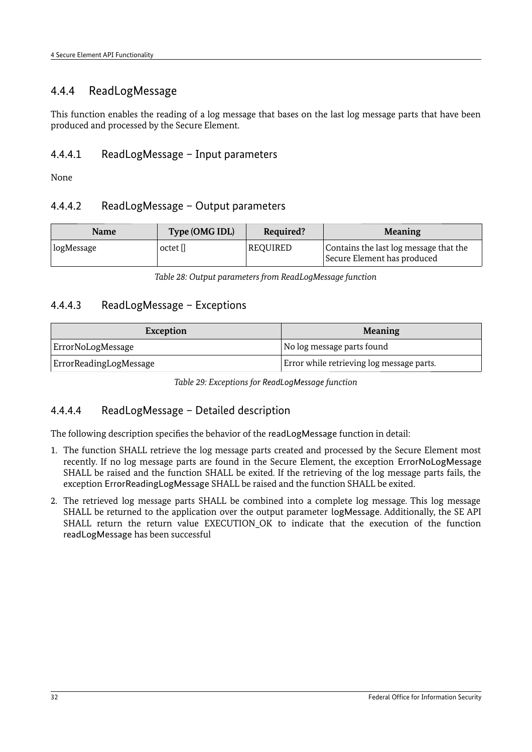## <span id="page-31-0"></span>4.4.4 ReadLogMessage

This function enables the reading of a log message that bases on the last log message parts that have been produced and processed by the Secure Element.

#### 4.4.4.1 ReadLogMessage – Input parameters

None

#### 4.4.4.2 ReadLogMessage – Output parameters

| <b>Name</b> | Type (OMG IDL) | Required?       | <b>Meaning</b>                                                        |
|-------------|----------------|-----------------|-----------------------------------------------------------------------|
| logMessage  | octet []       | <b>REQUIRED</b> | Contains the last log message that the<br>Secure Element has produced |

*Table 28: Output parameters from ReadLogMessage function*

#### 4.4.4.3 ReadLogMessage – Exceptions

| Exception              | <b>Meaning</b>                            |  |
|------------------------|-------------------------------------------|--|
| ErrorNoLogMessage      | No log message parts found                |  |
| ErrorReadingLogMessage | Error while retrieving log message parts. |  |

| Table 29: Exceptions for ReadLogMessage function |  |  |  |
|--------------------------------------------------|--|--|--|
|                                                  |  |  |  |
|                                                  |  |  |  |

#### 4.4.4.4 ReadLogMessage – Detailed description

The following description specifies the behavior of the readLogMessage function in detail:

- 1. The function SHALL retrieve the log message parts created and processed by the Secure Element most recently. If no log message parts are found in the Secure Element, the exception ErrorNoLogMessage SHALL be raised and the function SHALL be exited. If the retrieving of the log message parts fails, the exception ErrorReadingLogMessage SHALL be raised and the function SHALL be exited.
- 2. The retrieved log message parts SHALL be combined into a complete log message. This log message SHALL be returned to the application over the output parameter logMessage. Additionally, the SE API SHALL return the return value EXECUTION OK to indicate that the execution of the function readLogMessage has been successful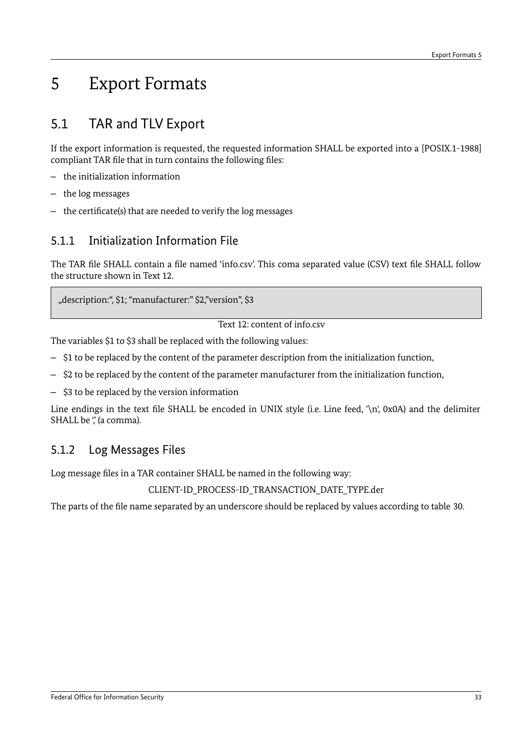## <span id="page-32-3"></span>5 Export Formats

## <span id="page-32-2"></span>5.1 TAR and TLV Export

If the export information is requested, the requested information SHALL be exported into a [POSIX.1-1988] compliant TAR file that in turn contains the following files:

- the initialization information
- the log messages
- the certificate(s) that are needed to verify the log messages

## <span id="page-32-1"></span>5.1.1 Initialization Information File

The TAR file SHALL contain a file named 'info.csv'. This coma separated value (CSV) text file SHALL follow the structure shown in [Text 12.](#page-32-4)

"description:", \$1; "manufacturer:" \$2,"version", \$3

<span id="page-32-4"></span>Text 12: content of info.csv

The variables \$1 to \$3 shall be replaced with the following values:

- \$1 to be replaced by the content of the parameter description from the initialization function,
- \$2 to be replaced by the content of the parameter manufacturer from the initialization function,
- \$3 to be replaced by the version information

Line endings in the text file SHALL be encoded in UNIX style (i.e. Line feed, '\n', 0x0A) and the delimiter SHALL be ", (a comma).

## <span id="page-32-0"></span>5.1.2 Log Messages Files

Log message files in a TAR container SHALL be named in the following way:

CLIENT-ID\_PROCESS-ID\_TRANSACTION\_DATE\_TYPE.der

The parts of the file name separated by an underscore should be replaced by values according to table [30.](#page-33-1)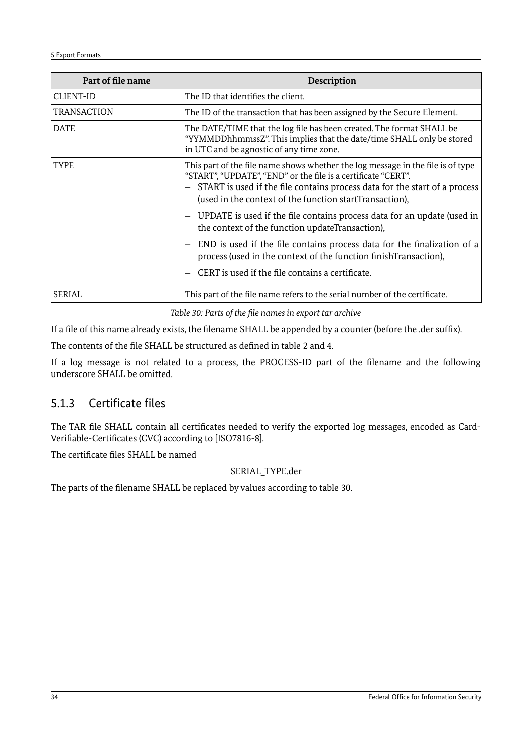| Part of file name  | Description                                                                                                                                                                                                                                                                                 |
|--------------------|---------------------------------------------------------------------------------------------------------------------------------------------------------------------------------------------------------------------------------------------------------------------------------------------|
| <b>CLIENT-ID</b>   | The ID that identifies the client.                                                                                                                                                                                                                                                          |
| <b>TRANSACTION</b> | The ID of the transaction that has been assigned by the Secure Element.                                                                                                                                                                                                                     |
| <b>DATE</b>        | The DATE/TIME that the log file has been created. The format SHALL be<br>"YYMMDDhhmmssZ". This implies that the date/time SHALL only be stored<br>in UTC and be agnostic of any time zone.                                                                                                  |
| <b>TYPE</b>        | This part of the file name shows whether the log message in the file is of type<br>"START", "UPDATE", "END" or the file is a certificate "CERT".<br>- START is used if the file contains process data for the start of a process<br>(used in the context of the function startTransaction), |
|                    | UPDATE is used if the file contains process data for an update (used in<br>the context of the function updateTransaction),                                                                                                                                                                  |
|                    | - END is used if the file contains process data for the finalization of a<br>process (used in the context of the function finishTransaction),                                                                                                                                               |
|                    | CERT is used if the file contains a certificate.                                                                                                                                                                                                                                            |
| <b>SERIAL</b>      | This part of the file name refers to the serial number of the certificate.                                                                                                                                                                                                                  |

<span id="page-33-1"></span>*Table 30: Parts of the file names in export tar archive*

If a file of this name already exists, the filename SHALL be appended by a counter (before the .der suffix).

The contents of the file SHALL be structured as defined in table [2](#page-9-3) and [4.](#page-11-3)

If a log message is not related to a process, the PROCESS-ID part of the filename and the following underscore SHALL be omitted.

## <span id="page-33-0"></span>5.1.3 Certificate files

The TAR file SHALL contain all certificates needed to verify the exported log messages, encoded as Card-Verifiable-Certificates (CVC) according to [ISO7816-8].

The certificate files SHALL be named

#### SERIAL\_TYPE.der

The parts of the filename SHALL be replaced by values according to table [30.](#page-33-1)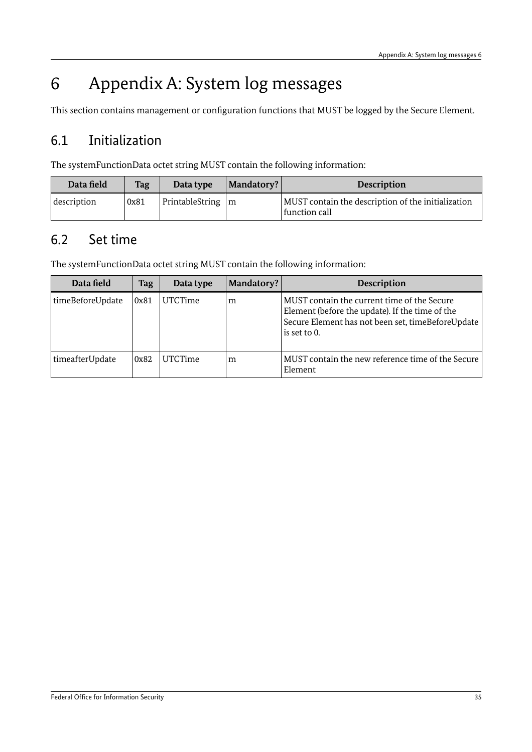## <span id="page-34-2"></span>6 Appendix A: System log messages

This section contains management or configuration functions that MUST be logged by the Secure Element.

## <span id="page-34-1"></span>6.1 Initialization

The systemFunctionData octet string MUST contain the following information:

| Data field  | <b>Tag</b> | Data type            | Mandatory? | <b>Description</b>                                                  |
|-------------|------------|----------------------|------------|---------------------------------------------------------------------|
| description | 0x81       | PrintableString $ m$ |            | MUST contain the description of the initialization<br>function call |

## <span id="page-34-0"></span>6.2 Set time

The systemFunctionData octet string MUST contain the following information:

| Data field       | <b>Tag</b> | Data type      | Mandatory? | <b>Description</b>                                                                                                                                                  |
|------------------|------------|----------------|------------|---------------------------------------------------------------------------------------------------------------------------------------------------------------------|
| timeBeforeUpdate | 0x81       | <b>UTCTime</b> | m          | MUST contain the current time of the Secure<br>Element (before the update). If the time of the<br>Secure Element has not been set, timeBeforeUpdate<br>is set to 0. |
| timeafterUpdate  | 0x82       | <b>UTCTime</b> | m          | MUST contain the new reference time of the Secure<br>Element                                                                                                        |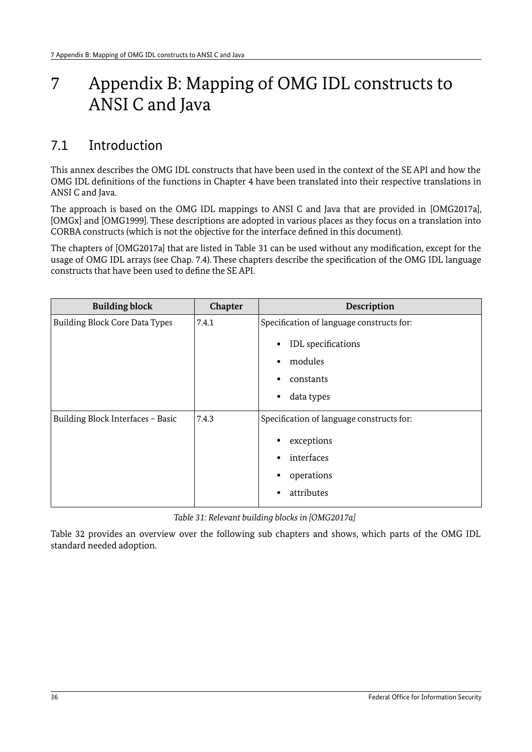## <span id="page-35-1"></span>7 Appendix B: Mapping of OMG IDL constructs to ANSI C and Java

## <span id="page-35-0"></span>7.1 Introduction

This annex describes the OMG IDL constructs that have been used in the context of the SE API and how the OMG IDL definitions of the functions in Chapter [4](#page-19-3)have been translated into their respective translations in ANSI C and Java.

The approach is based on the OMG IDL mappings to ANSI C and Java that are provided in [OMG2017a], [OMGx] and [OMG1999]. These descriptions are adopted in various places as they focus on a translation into CORBA constructs (which is not the objective for the interface defined in this document).

The chapters of [OMG2017a] that are listed in Table [31](#page-35-2) can be used without any modification, except for the usage of OMG IDL arrays (see Chap. [7.4\)](#page-38-0). These chapters describe the specification of the OMG IDL language constructs that have been used to define the SE API.

| <b>Building block</b>                 | Chapter | Description                               |
|---------------------------------------|---------|-------------------------------------------|
| <b>Building Block Core Data Types</b> | 7.4.1   | Specification of language constructs for: |
|                                       |         | IDL specifications<br>٠                   |
|                                       |         |                                           |
|                                       |         | modules<br>¢                              |
|                                       |         | constants<br>٠                            |
|                                       |         | data types<br>٠                           |
|                                       |         |                                           |
| Building Block Interfaces - Basic     | 7.4.3   | Specification of language constructs for: |
|                                       |         | exceptions<br>٠                           |
|                                       |         | interfaces<br>٠                           |
|                                       |         |                                           |
|                                       |         | operations                                |
|                                       |         | attributes<br>٠                           |
|                                       |         |                                           |

<span id="page-35-2"></span>*Table 31: Relevant building blocks in [OMG2017a]* 

Table [32](#page-36-1) provides an overview over the following sub chapters and shows, which parts of the OMG IDL standard needed adoption.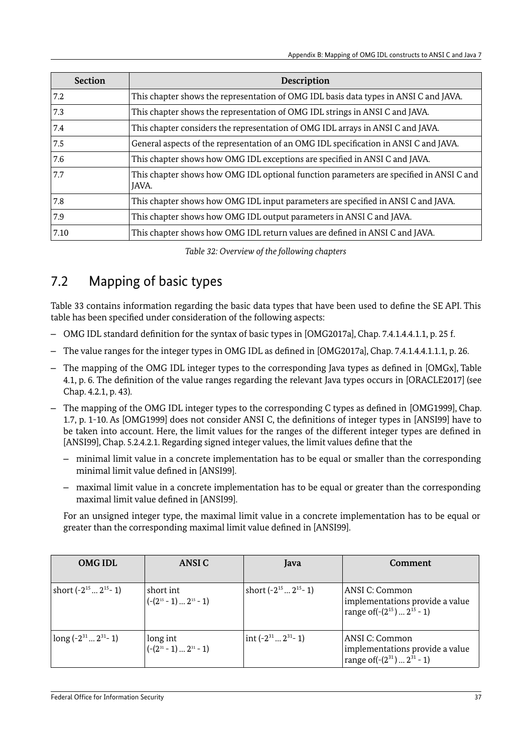| <b>Section</b> | Description                                                                                      |
|----------------|--------------------------------------------------------------------------------------------------|
| 7.2            | This chapter shows the representation of OMG IDL basis data types in ANSI C and JAVA.            |
| 7.3            | This chapter shows the representation of OMG IDL strings in ANSI C and JAVA.                     |
| 7.4            | This chapter considers the representation of OMG IDL arrays in ANSI C and JAVA.                  |
| 7.5            | General aspects of the representation of an OMG IDL specification in ANSI C and JAVA.            |
| 7.6            | This chapter shows how OMG IDL exceptions are specified in ANSI C and JAVA.                      |
| 7.7            | This chapter shows how OMG IDL optional function parameters are specified in ANSI C and<br>JAVA. |
| 7.8            | This chapter shows how OMG IDL input parameters are specified in ANSI C and JAVA.                |
| 7.9            | This chapter shows how OMG IDL output parameters in ANSI C and JAVA.                             |
| 7.10           | This chapter shows how OMG IDL return values are defined in ANSI C and JAVA.                     |

<span id="page-36-1"></span>*Table 32: Overview of the following chapters*

## <span id="page-36-0"></span>7.2 Mapping of basic types

Table [33](#page-38-2) contains information regarding the basic data types that have been used to define the SE API. This table has been specified under consideration of the following aspects:

- OMG IDL standard definition for the syntax of basic types in [OMG2017a], Chap. 7.4.1.4.4.1.1, p. 25 f.
- The value ranges for the integer types in OMG IDL as defined in [OMG2017a], Chap. 7.4.1.4.4.1.1.1, p. 26.
- The mapping of the OMG IDL integer types to the corresponding Java types as defined in [OMGx], Table 4.1, p. 6. The definition of the value ranges regarding the relevant Java types occurs in [ORACLE2017] (see Chap. 4.2.1, p. 43).
- The mapping of the OMG IDL integer types to the corresponding C types as defined in [OMG1999], Chap. 1.7, p. 1-10. As [OMG1999] does not consider ANSI C, the definitions of integer types in [ANSI99] have to be taken into account. Here, the limit values for the ranges of the different integer types are defined in [ANSI99], Chap. 5.2.4.2.1. Regarding signed integer values, the limit values define that the
	- minimal limit value in a concrete implementation has to be equal or smaller than the corresponding minimal limit value defined in [ANSI99].
	- maximal limit value in a concrete implementation has to be equal or greater than the corresponding maximal limit value defined in [ANSI99].

For an unsigned integer type, the maximal limit value in a concrete implementation has to be equal or greater than the corresponding maximal limit value defined in [ANSI99].

| <b>OMGIDL</b>                      | ANSI C                                         | Java                                                | Comment                                                                                      |
|------------------------------------|------------------------------------------------|-----------------------------------------------------|----------------------------------------------------------------------------------------------|
| short $(-2^{15} \dots 2^{15} - 1)$ | short int.<br>$(-2^{15}-1) 2^{15}-1)$          | short $(-2^{15} \dots 2^{15} - 1)$                  | ANSI C: Common<br>implementations provide a value<br>range of $(-(2^{15}) \dots 2^{15} - 1)$ |
| $\log(-2^{31} 2^{31} - 1)$         | long int<br>$(-(2^{31} - 1) \dots 2^{31} - 1)$ | $\int \int \left( -2^{31} \dots 2^{31} - 1 \right)$ | ANSI C: Common<br>implementations provide a value<br>range of $(-(2^{31}) \dots 2^{31} - 1)$ |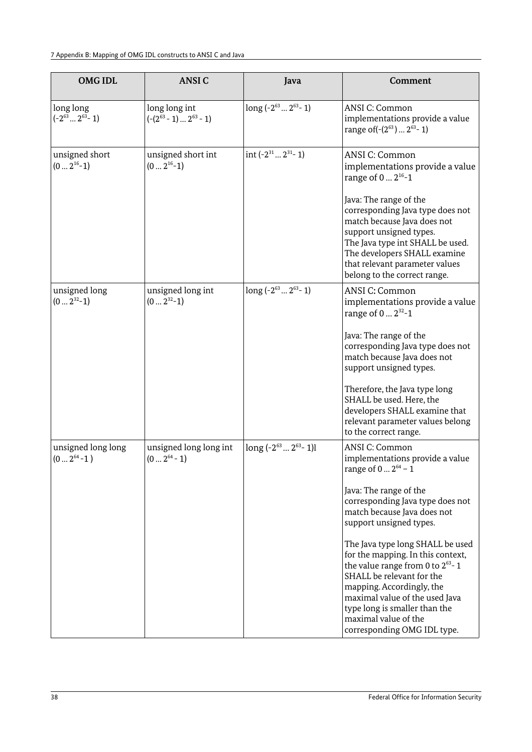| <b>OMGIDL</b>                             | <b>ANSIC</b>                                         | Java                                | Comment                                                                                                                                                                                                                                                                                            |
|-------------------------------------------|------------------------------------------------------|-------------------------------------|----------------------------------------------------------------------------------------------------------------------------------------------------------------------------------------------------------------------------------------------------------------------------------------------------|
| long long<br>$(-2^{63} \dots 2^{63} - 1)$ | long long int<br>$(- (2^{63} - 1) \dots 2^{63} - 1)$ | long $(-2^{63} \dots 2^{63} - 1)$   | ANSI C: Common<br>implementations provide a value<br>range of $(-(2^{63}) \dots 2^{63} - 1)$                                                                                                                                                                                                       |
| unsigned short<br>$(0 \dots 2^{16} - 1)$  | unsigned short int<br>$(0 \dots 2^{16}-1)$           | int $(-2^{31} \dots 2^{31} - 1)$    | ANSI C: Common<br>implementations provide a value<br>range of $0 2^{16} - 1$                                                                                                                                                                                                                       |
|                                           |                                                      |                                     | Java: The range of the<br>corresponding Java type does not<br>match because Java does not<br>support unsigned types.<br>The Java type int SHALL be used.<br>The developers SHALL examine<br>that relevant parameter values<br>belong to the correct range.                                         |
| unsigned long<br>$(02^{32}-1)$            | unsigned long int<br>$(02^{32}-1)$                   | long $(-2^{63} \dots 2^{63} - 1)$   | <b>ANSI C: Common</b><br>implementations provide a value<br>range of $0 2^{32} - 1$                                                                                                                                                                                                                |
|                                           |                                                      |                                     | Java: The range of the<br>corresponding Java type does not<br>match because Java does not<br>support unsigned types.                                                                                                                                                                               |
|                                           |                                                      |                                     | Therefore, the Java type long<br>SHALL be used. Here, the<br>developers SHALL examine that<br>relevant parameter values belong<br>to the correct range.                                                                                                                                            |
| unsigned long long<br>$(02^{64}-1)$       | unsigned long long int<br>$(02^{64} - 1)$            | long $(-2^{63} \dots 2^{63} - 1)$ l | <b>ANSI C: Common</b><br>implementations provide a value<br>range of $0  2^{64} - 1$                                                                                                                                                                                                               |
|                                           |                                                      |                                     | Java: The range of the<br>corresponding Java type does not<br>match because Java does not<br>support unsigned types.                                                                                                                                                                               |
|                                           |                                                      |                                     | The Java type long SHALL be used<br>for the mapping. In this context,<br>the value range from 0 to $2^{63}$ -1<br>SHALL be relevant for the<br>mapping. Accordingly, the<br>maximal value of the used Java<br>type long is smaller than the<br>maximal value of the<br>corresponding OMG IDL type. |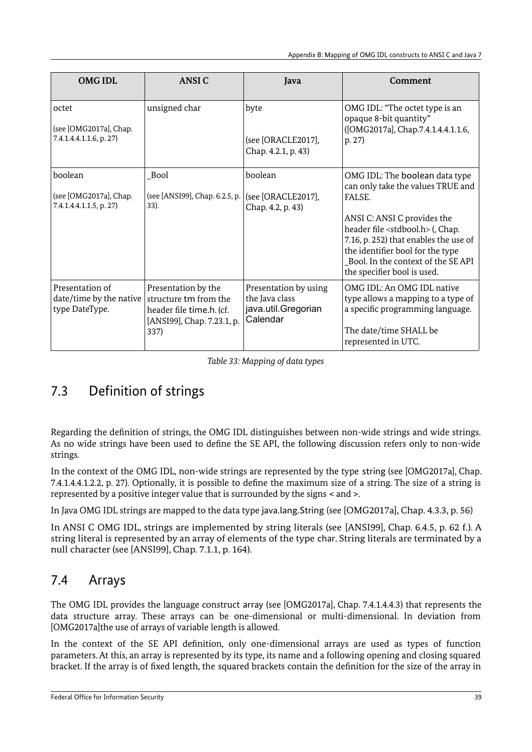| <b>OMGIDL</b>                                                | <b>ANSIC</b>                                                                                                   | Java                                                                       | Comment                                                                                                                                                                                                                                                                                                            |
|--------------------------------------------------------------|----------------------------------------------------------------------------------------------------------------|----------------------------------------------------------------------------|--------------------------------------------------------------------------------------------------------------------------------------------------------------------------------------------------------------------------------------------------------------------------------------------------------------------|
| octet<br>(see [OMG2017a], Chap.<br>7.4.1.4.4.1.1.6, p. 27)   | unsigned char                                                                                                  | byte<br>(see [ORACLE2017],<br>Chap. 4.2.1, p. 43)                          | OMG IDL: "The octet type is an<br>opaque 8-bit quantity"<br>([OMG2017a], Chap.7.4.1.4.4.1.1.6,<br>p. 27)                                                                                                                                                                                                           |
| boolean<br>(see [OMG2017a], Chap.<br>7.4.1.4.4.1.1.5, p. 27) | <b>Bool</b><br>(see [ANSI99], Chap. 6.2.5, p.<br>33).                                                          | boolean<br>(see [ORACLE2017],<br>Chap. 4.2, p. 43)                         | OMG IDL: The boolean data type<br>can only take the values TRUE and<br>FALSE.<br>ANSI C: ANSI C provides the<br>header file <stdbool.h> (, Chap.<br/>7.16, p. 252) that enables the use of<br/>the identifier bool for the type<br/>Bool. In the context of the SE API<br/>the specifier bool is used.</stdbool.h> |
| Presentation of<br>date/time by the native<br>type DateType. | Presentation by the<br>structure tm from the<br>header file time.h. (cf.<br>[ANSI99], Chap. 7.23.1, p.<br>337) | Presentation by using<br>the Java class<br>java.util.Gregorian<br>Calendar | OMG IDL: An OMG IDL native<br>type allows a mapping to a type of<br>a specific programming language.<br>The date/time SHALL be<br>represented in UTC.                                                                                                                                                              |

<span id="page-38-2"></span>*Table 33: Mapping of data types*

## <span id="page-38-1"></span>7.3 Definition of strings

Regarding the definition of strings, the OMG IDL distinguishes between non-wide strings and wide strings. As no wide strings have been used to define the SE API, the following discussion refers only to non-wide strings.

In the context of the OMG IDL, non-wide strings are represented by the type string (see [OMG2017a], Chap. 7.4.1.4.4.1.2.2, p. 27). Optionally, it is possible to define the maximum size of a string. The size of a string is represented by a positive integer value that is surrounded by the signs < and >.

In Java OMG IDL strings are mapped to the data type java.lang.String (see [OMG2017a], Chap. 4.3.3, p. 56)

In ANSI C OMG IDL, strings are implemented by string literals (see [ANSI99], Chap. 6.4.5, p. 62 f.). A string literal is represented by an array of elements of the type char. String literals are terminated by a null character (see [ANSI99], Chap. 7.1.1, p. 164).

## <span id="page-38-0"></span>7.4 Arrays

The OMG IDL provides the language construct array (see [OMG2017a], Chap. 7.4.1.4.4.3) that represents the data structure array. These arrays can be one-dimensional or multi-dimensional. In deviation from [OMG2017a]the use of arrays of variable length is allowed.

In the context of the SE API definition, only one-dimensional arrays are used as types of function parameters. At this, an array is represented by its type, its name and a following opening and closing squared bracket. If the array is of fixed length, the squared brackets contain the definition for the size of the array in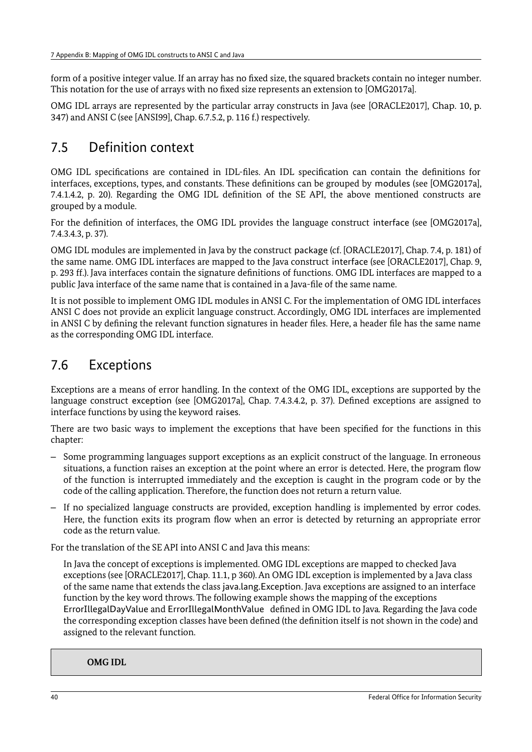form of a positive integer value. If an array has no fixed size, the squared brackets contain no integer number. This notation for the use of arrays with no fixed size represents an extension to [OMG2017a].

OMG IDL arrays are represented by the particular array constructs in Java (see [ORACLE2017], Chap. 10, p. 347) and ANSI C (see [ANSI99], Chap. 6.7.5.2, p. 116 f.) respectively.

## <span id="page-39-1"></span>7.5 Definition context

OMG IDL specifications are contained in IDL-files. An IDL specification can contain the definitions for interfaces, exceptions, types, and constants. These definitions can be grouped by modules (see [OMG2017a], 7.4.1.4.2, p. 20). Regarding the OMG IDL definition of the SE API, the above mentioned constructs are grouped by a module.

For the definition of interfaces, the OMG IDL provides the language construct interface (see [OMG2017a], 7.4.3.4.3, p. 37).

OMG IDL modules are implemented in Java by the construct package (cf. [ORACLE2017], Chap. 7.4, p. 181) of the same name. OMG IDL interfaces are mapped to the Java construct interface (see [ORACLE2017], Chap. 9, p. 293 ff.). Java interfaces contain the signature definitions of functions. OMG IDL interfaces are mapped to a public Java interface of the same name that is contained in a Java-file of the same name.

It is not possible to implement OMG IDL modules in ANSI C. For the implementation of OMG IDL interfaces ANSI C does not provide an explicit language construct. Accordingly, OMG IDL interfaces are implemented in ANSI C by defining the relevant function signatures in header files. Here, a header file has the same name as the corresponding OMG IDL interface.

## <span id="page-39-0"></span>7.6 Exceptions

Exceptions are a means of error handling. In the context of the OMG IDL, exceptions are supported by the language construct exception (see [OMG2017a], Chap. 7.4.3.4.2, p. 37). Defined exceptions are assigned to interface functions by using the keyword raises.

There are two basic ways to implement the exceptions that have been specified for the functions in this chapter:

- Some programming languages support exceptions as an explicit construct of the language. In erroneous situations, a function raises an exception at the point where an error is detected. Here, the program flow of the function is interrupted immediately and the exception is caught in the program code or by the code of the calling application. Therefore, the function does not return a return value.
- If no specialized language constructs are provided, exception handling is implemented by error codes. Here, the function exits its program flow when an error is detected by returning an appropriate error code as the return value.

For the translation of the SE API into ANSI C and Java this means:

In Java the concept of exceptions is implemented. OMG IDL exceptions are mapped to checked Java exceptions (see [ORACLE2017], Chap. 11.1, p 360). An OMG IDL exception is implemented by a Java class of the same name that extends the class java.lang.Exception. Java exceptions are assigned to an interface function by the key word throws. The following example shows the mapping of the exceptions ErrorIllegalDayValue and ErrorIllegalMonthValue defined in OMG IDL to Java*.* Regarding the Java code the corresponding exception classes have been defined (the definition itself is not shown in the code) and assigned to the relevant function.

**OMG IDL**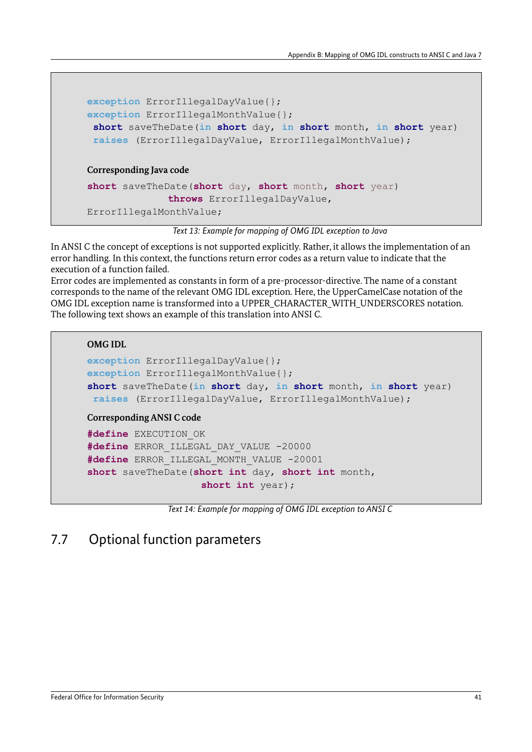```
exception ErrorIllegalDayValue{};
exception ErrorIllegalMonthValue{};
 short saveTheDate(in short day, in short month, in short year)
 raises (ErrorIllegalDayValue, ErrorIllegalMonthValue);
Corresponding Java code
short saveTheDate(short day, short month, short year)
              throws ErrorIllegalDayValue, 
ErrorIllegalMonthValue;
```
*Text 13: Example for mapping of OMG IDL exception to Java*

In ANSI C the concept of exceptions is not supported explicitly. Rather, it allows the implementation of an error handling. In this context, the functions return error codes as a return value to indicate that the execution of a function failed.

Error codes are implemented as constants in form of a pre-processor-directive. The name of a constant corresponds to the name of the relevant OMG IDL exception. Here, the UpperCamelCase notation of the OMG IDL exception name is transformed into a UPPER\_CHARACTER\_WITH\_UNDERSCORES notation. The following text shows an example of this translation into ANSI C.

```
OMG IDL
```

```
exception ErrorIllegalDayValue{};
exception ErrorIllegalMonthValue{};
short saveTheDate(in short day, in short month, in short year)
 raises (ErrorIllegalDayValue, ErrorIllegalMonthValue);
Corresponding ANSI C code
#define EXECUTION_OK
```

```
#define ERROR_ILLEGAL_DAY_VALUE -20000
#define ERROR_ILLEGAL_MONTH_VALUE -20001
short saveTheDate(short int day, short int month, 
                   short int year);
```
*Text 14: Example for mapping of OMG IDL exception to ANSI C*

## <span id="page-40-0"></span>7.7 Optional function parameters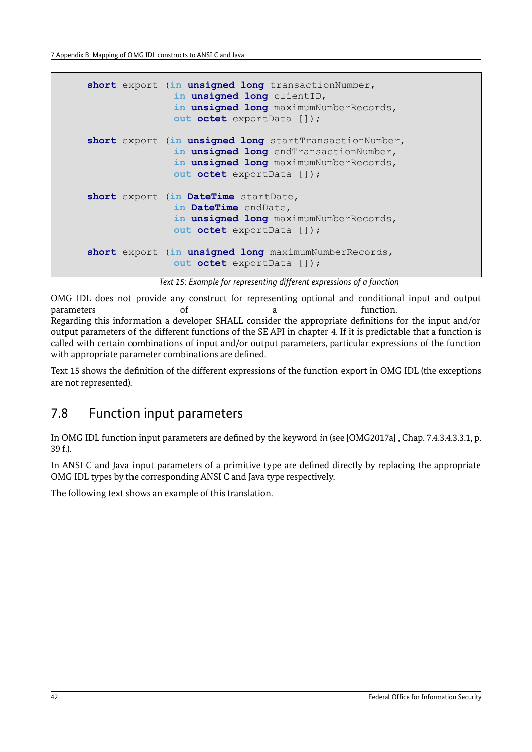```
short export (in unsigned long transactionNumber,
               in unsigned long clientID, 
               in unsigned long maximumNumberRecords,
              out octet exportData []);
short export (in unsigned long startTransactionNumber, 
               in unsigned long endTransactionNumber,
               in unsigned long maximumNumberRecords,
              out octet exportData []);
short export (in DateTime startDate, 
              in DateTime endDate,
               in unsigned long maximumNumberRecords,
               out octet exportData []);
short export (in unsigned long maximumNumberRecords,
               out octet exportData []);
```
<span id="page-41-1"></span>*Text 15: Example for representing different expressions of a function* 

OMG IDL does not provide any construct for representing optional and conditional input and output parameters of of a function.

Regarding this information a developer SHALL consider the appropriate definitions for the input and/or output parameters of the different functions of the SE API in chapter [4.](#page-19-3) If it is predictable that a function is called with certain combinations of input and/or output parameters, particular expressions of the function with appropriate parameter combinations are defined.

Text [15](#page-41-1) shows the definition of the different expressions of the function export in OMG IDL (the exceptions are not represented).

## <span id="page-41-0"></span>7.8 Function input parameters

In OMG IDL function input parameters are defined by the keyword *in* (see [OMG2017a] , Chap. 7.4.3.4.3.3.1, p. 39 f.).

In ANSI C and Java input parameters of a primitive type are defined directly by replacing the appropriate OMG IDL types by the corresponding ANSI C and Java type respectively.

The following text shows an example of this translation.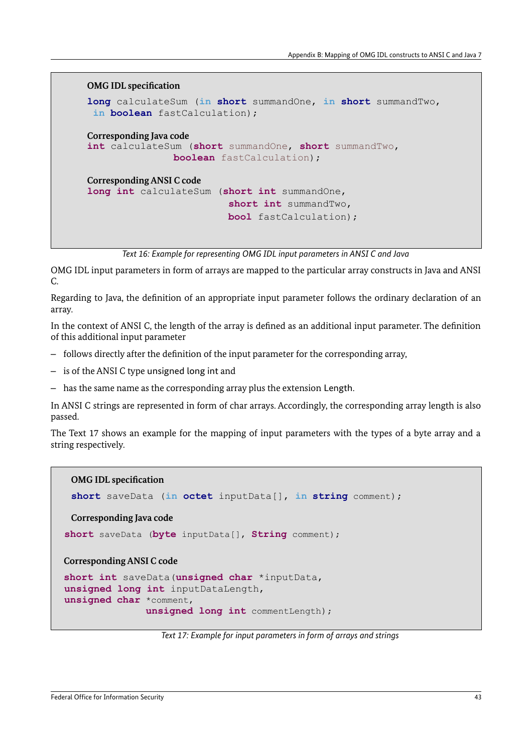#### **OMG IDL specification**

```
long calculateSum (in short summandOne, in short summandTwo, 
in boolean fastCalculation);
Corresponding Java code
int calculateSum (short summandOne, short summandTwo, 
               boolean fastCalculation);
Corresponding ANSI C code
long int calculateSum (short int summandOne, 
                         short int summandTwo, 
                         bool fastCalculation);
```
*Text 16: Example for representing OMG IDL input parameters in ANSI C and Java*

OMG IDL input parameters in form of arrays are mapped to the particular array constructs in Java and ANSI C.

Regarding to Java, the definition of an appropriate input parameter follows the ordinary declaration of an array.

In the context of ANSI C, the length of the array is defined as an additional input parameter. The definition of this additional input parameter

- follows directly after the definition of the input parameter for the corresponding array,
- is of the ANSI C type unsigned long int and
- has the same name as the corresponding array plus the extension Length.

In ANSI C strings are represented in form of char arrays. Accordingly, the corresponding array length is also passed.

The Text [17](#page-42-0) shows an example for the mapping of input parameters with the types of a byte array and a string respectively.

#### **OMG IDL specification**

```
short saveData (in octet inputData[], in string comment);
```

```
Corresponding Java code
```

```
 short saveData (byte inputData[], String comment);
```
**Corresponding ANSI C code**

```
short int saveData(unsigned char *inputData, 
unsigned long int inputDataLength,
unsigned char *comment, 
              unsigned long int commentLength);
```
<span id="page-42-0"></span>*Text 17: Example for input parameters in form of arrays and strings*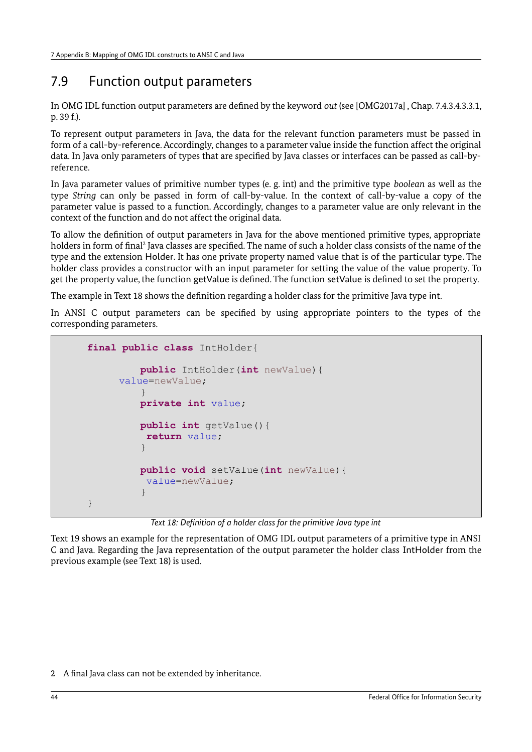## <span id="page-43-0"></span>7.9 Function output parameters

In OMG IDL function output parameters are defined by the keyword *out* (see [OMG2017a] , Chap. 7.4.3.4.3.3.1, p. 39 f.).

To represent output parameters in Java, the data for the relevant function parameters must be passed in form of a call-by-reference. Accordingly, changes to a parameter value inside the function affect the original data. In Java only parameters of types that are specified by Java classes or interfaces can be passed as call-byreference.

In Java parameter values of primitive number types (e. g. int) and the primitive type *boolean* as well as the type *String* can only be passed in form of call-by-value. In the context of call-by-value a copy of the parameter value is passed to a function. Accordingly, changes to a parameter value are only relevant in the context of the function and do not affect the original data.

To allow the definition of output parameters in Java for the above mentioned primitive types, appropriate holders in form of final<sup>[2](#page-43-2)</sup> Java classes are specified. The name of such a holder class consists of the name of the type and the extension Holder. It has one private property named value that is of the particular type. The holder class provides a constructor with an input parameter for setting the value of the value property. To get the property value, the function getValue is defined. The function setValue is defined to set the property.

The example in Text [18](#page-43-1) shows the definition regarding a holder class for the primitive Java type int.

In ANSI C output parameters can be specified by using appropriate pointers to the types of the corresponding parameters.

```
final public class IntHolder{
         public IntHolder(int newValue){
     value=newValue;
         }
         private int value;
         public int getValue(){
          return value;
         }
         public void setValue(int newValue){
          value=newValue;
         }
}
```
<span id="page-43-1"></span>*Text 18: Definition of a holder class for the primitive Java type int*

[Text 19](#page-44-1) shows an example for the representation of OMG IDL output parameters of a primitive type in ANSI C and Java. Regarding the Java representation of the output parameter the holder class IntHolder from the previous example (see Text [18\)](#page-43-1) is used.

<span id="page-43-2"></span>2 A final Java class can not be extended by inheritance.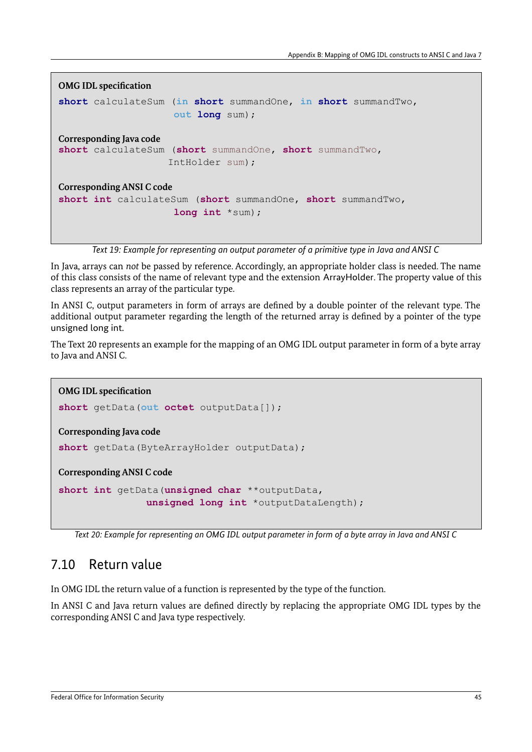```
OMG IDL specification
short calculateSum (in short summandOne, in short summandTwo, 
                     out long sum);
Corresponding Java code
short calculateSum (short summandOne, short summandTwo,
                    IntHolder sum);
Corresponding ANSI C code
short int calculateSum (short summandOne, short summandTwo, 
                     long int *sum);
```
<span id="page-44-1"></span>*Text 19: Example for representing an output parameter of a primitive type in Java and ANSI C*

In Java, arrays can *not* be passed by reference. Accordingly, an appropriate holder class is needed. The name of this class consists of the name of relevant type and the extension ArrayHolder. The property value of this class represents an array of the particular type.

In ANSI C, output parameters in form of arrays are defined by a double pointer of the relevant type. The additional output parameter regarding the length of the returned array is defined by a pointer of the type unsigned long int.

The Text [20](#page-44-2) represents an example for the mapping of an OMG IDL output parameter in form of a byte array to Java and ANSI C.

```
OMG IDL specification
short getData(out octet outputData[]);
Corresponding Java code
short getData(ByteArrayHolder outputData);
Corresponding ANSI C code
short int getData(unsigned char **outputData, 
                unsigned long int *outputDataLength);
```
<span id="page-44-2"></span><span id="page-44-0"></span>*Text 20: Example for representing an OMG IDL output parameter in form of a byte array in Java and ANSI C*

## 7.10 Return value

In OMG IDL the return value of a function is represented by the type of the function.

In ANSI C and Java return values are defined directly by replacing the appropriate OMG IDL types by the corresponding ANSI C and Java type respectively.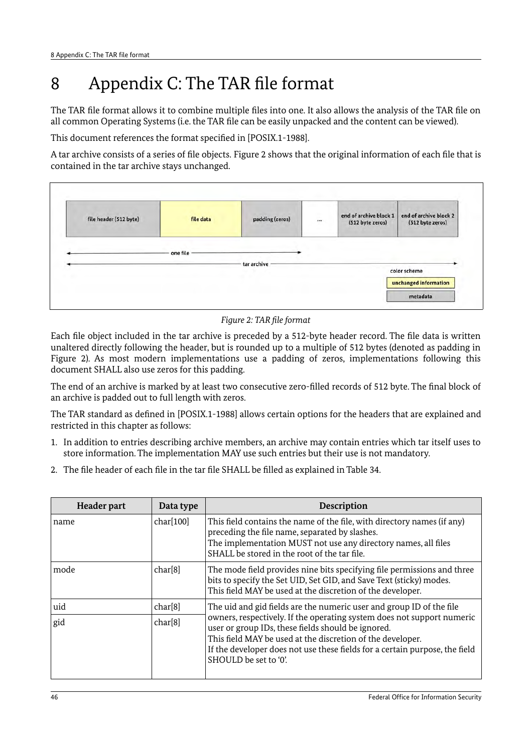## <span id="page-45-0"></span>8 Appendix C: The TAR file format

The TAR file format allows it to combine multiple files into one. It also allows the analysis of the TAR file on all common Operating Systems (i.e. the TAR file can be easily unpacked and the content can be viewed).

This document references the format specified in [POSIX.1-1988].

A tar archive consists of a series of file objects. [Figure 2](#page-45-1) shows that the original information of each file that is contained in the tar archive stays unchanged.



<span id="page-45-1"></span>*Figure 2: TAR file format*

Each file object included in the tar archive is preceded by a 512-byte header record. The file data is written unaltered directly following the header, but is rounded up to a multiple of 512 bytes (denoted as padding in [Figure 2\)](#page-45-1). As most modern implementations use a padding of zeros, implementations following this document SHALL also use zeros for this padding.

The end of an archive is marked by at least two consecutive zero-filled records of 512 byte. The final block of an archive is padded out to full length with zeros.

The TAR standard as defined in [POSIX.1-1988] allows certain options for the headers that are explained and restricted in this chapter as follows:

- 1. In addition to entries describing archive members, an archive may contain entries which tar itself uses to store information. The implementation MAY use such entries but their use is not mandatory.
- 2. The file header of each file in the tar file SHALL be filled as explained in Table [34.](#page-46-0)

| <b>Header part</b> | Data type | <b>Description</b>                                                                                                                                                                                                                                                                                 |
|--------------------|-----------|----------------------------------------------------------------------------------------------------------------------------------------------------------------------------------------------------------------------------------------------------------------------------------------------------|
| name               | char[100] | This field contains the name of the file, with directory names (if any)<br>preceding the file name, separated by slashes.<br>The implementation MUST not use any directory names, all files<br>SHALL be stored in the root of the tar file.                                                        |
| mode               | char[8]   | The mode field provides nine bits specifying file permissions and three<br>bits to specify the Set UID, Set GID, and Save Text (sticky) modes.<br>This field MAY be used at the discretion of the developer.                                                                                       |
| uid                | char[8]   | The uid and gid fields are the numeric user and group ID of the file                                                                                                                                                                                                                               |
| gid                | char[8]   | owners, respectively. If the operating system does not support numeric<br>user or group IDs, these fields should be ignored.<br>This field MAY be used at the discretion of the developer.<br>If the developer does not use these fields for a certain purpose, the field<br>SHOULD be set to '0'. |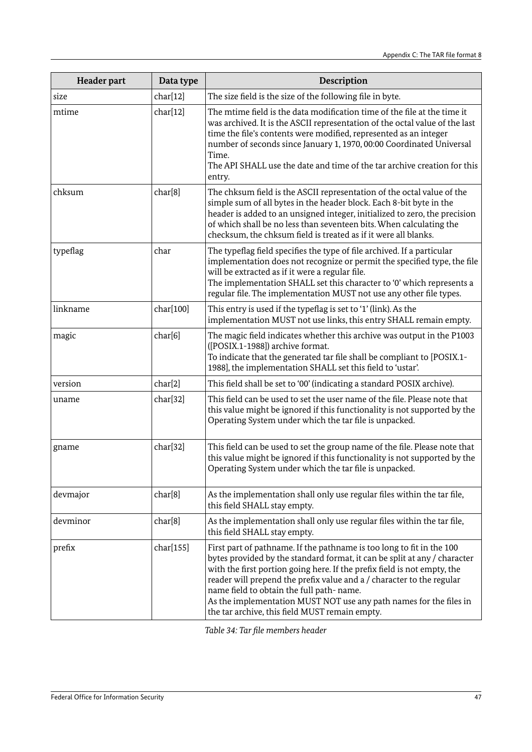| Header part | Data type | Description                                                                                                                                                                                                                                                                                                                                                                                                                                                                 |
|-------------|-----------|-----------------------------------------------------------------------------------------------------------------------------------------------------------------------------------------------------------------------------------------------------------------------------------------------------------------------------------------------------------------------------------------------------------------------------------------------------------------------------|
| size        | char[12]  | The size field is the size of the following file in byte.                                                                                                                                                                                                                                                                                                                                                                                                                   |
| mtime       | char[12]  | The mtime field is the data modification time of the file at the time it<br>was archived. It is the ASCII representation of the octal value of the last<br>time the file's contents were modified, represented as an integer<br>number of seconds since January 1, 1970, 00:00 Coordinated Universal<br>Time.<br>The API SHALL use the date and time of the tar archive creation for this<br>entry.                                                                         |
| chksum      | char[8]   | The chksum field is the ASCII representation of the octal value of the<br>simple sum of all bytes in the header block. Each 8-bit byte in the<br>header is added to an unsigned integer, initialized to zero, the precision<br>of which shall be no less than seventeen bits. When calculating the<br>checksum, the chksum field is treated as if it were all blanks.                                                                                                       |
| typeflag    | char      | The typeflag field specifies the type of file archived. If a particular<br>implementation does not recognize or permit the specified type, the file<br>will be extracted as if it were a regular file.<br>The implementation SHALL set this character to '0' which represents a<br>regular file. The implementation MUST not use any other file types.                                                                                                                      |
| linkname    | char[100] | This entry is used if the typeflag is set to '1' (link). As the<br>implementation MUST not use links, this entry SHALL remain empty.                                                                                                                                                                                                                                                                                                                                        |
| magic       | char[6]   | The magic field indicates whether this archive was output in the P1003<br>([POSIX.1-1988]) archive format.<br>To indicate that the generated tar file shall be compliant to [POSIX.1-<br>1988], the implementation SHALL set this field to 'ustar'.                                                                                                                                                                                                                         |
| version     | char[2]   | This field shall be set to '00' (indicating a standard POSIX archive).                                                                                                                                                                                                                                                                                                                                                                                                      |
| uname       | char[32]  | This field can be used to set the user name of the file. Please note that<br>this value might be ignored if this functionality is not supported by the<br>Operating System under which the tar file is unpacked.                                                                                                                                                                                                                                                            |
| gname       | char[32]  | This field can be used to set the group name of the file. Please note that<br>this value might be ignored if this functionality is not supported by the<br>Operating System under which the tar file is unpacked.                                                                                                                                                                                                                                                           |
| devmajor    | char[8]   | As the implementation shall only use regular files within the tar file,<br>this field SHALL stay empty.                                                                                                                                                                                                                                                                                                                                                                     |
| devminor    | char[8]   | As the implementation shall only use regular files within the tar file,<br>this field SHALL stay empty.                                                                                                                                                                                                                                                                                                                                                                     |
| prefix      | char[155] | First part of pathname. If the pathname is too long to fit in the 100<br>bytes provided by the standard format, it can be split at any / character<br>with the first portion going here. If the prefix field is not empty, the<br>reader will prepend the prefix value and a / character to the regular<br>name field to obtain the full path-name.<br>As the implementation MUST NOT use any path names for the files in<br>the tar archive, this field MUST remain empty. |

<span id="page-46-0"></span>*Table 34: Tar file members header*